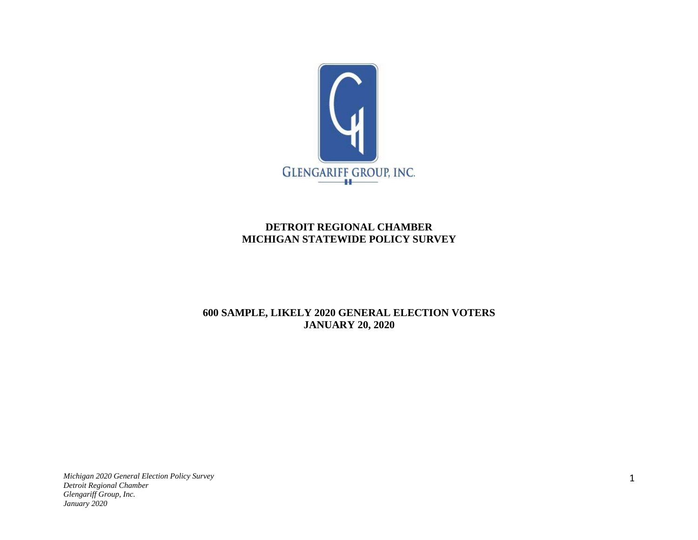

## **DETROIT REGIONAL CHAMBER MICHIGAN STATEWIDE POLICY SURVEY**

## **600 SAMPLE, LIKELY 2020 GENERAL ELECTION VOTERS JANUARY 20, 2020**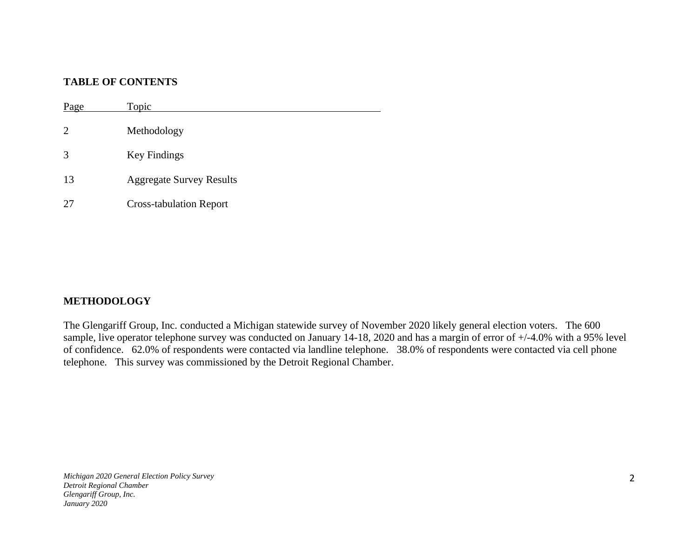## **TABLE OF CONTENTS**

Page Topic Methodology Key Findings Aggregate Survey Results Cross-tabulation Report

## **METHODOLOGY**

The Glengariff Group, Inc. conducted a Michigan statewide survey of November 2020 likely general election voters. The 600 sample, live operator telephone survey was conducted on January 14-18, 2020 and has a margin of error of +/-4.0% with a 95% level of confidence. 62.0% of respondents were contacted via landline telephone. 38.0% of respondents were contacted via cell phone telephone. This survey was commissioned by the Detroit Regional Chamber.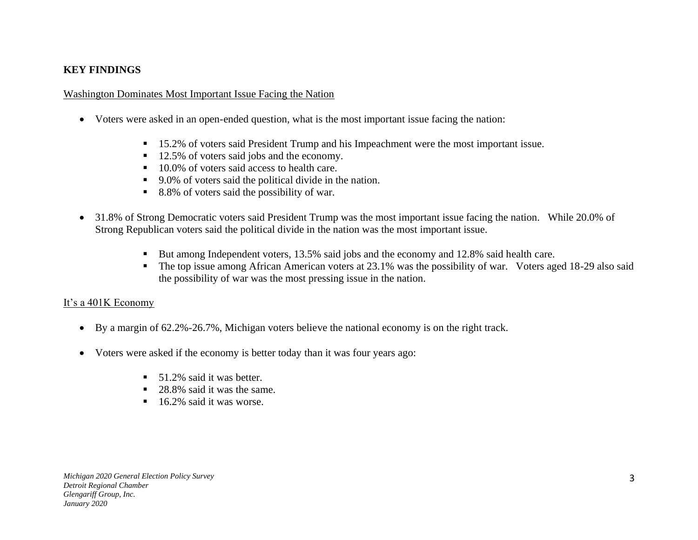## **KEY FINDINGS**

#### Washington Dominates Most Important Issue Facing the Nation

- Voters were asked in an open-ended question, what is the most important issue facing the nation:
	- 15.2% of voters said President Trump and his Impeachment were the most important issue.
	- 12.5% of voters said jobs and the economy.
	- 10.0% of voters said access to health care.
	- 9.0% of voters said the political divide in the nation.
	- 8.8% of voters said the possibility of war.
- 31.8% of Strong Democratic voters said President Trump was the most important issue facing the nation. While 20.0% of Strong Republican voters said the political divide in the nation was the most important issue.
	- But among Independent voters, 13.5% said jobs and the economy and 12.8% said health care.
	- The top issue among African American voters at 23.1% was the possibility of war. Voters aged 18-29 also said the possibility of war was the most pressing issue in the nation.

#### It's a 401K Economy

- By a margin of 62.2%-26.7%, Michigan voters believe the national economy is on the right track.
- Voters were asked if the economy is better today than it was four years ago:
	- $\blacksquare$  51.2% said it was better.
	- 28.8% said it was the same.
	- 16.2% said it was worse.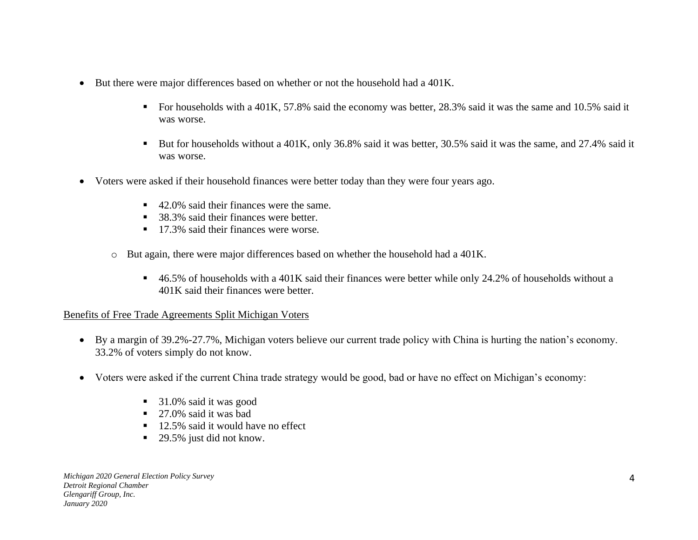- But there were major differences based on whether or not the household had a 401K.
	- For households with a 401K, 57.8% said the economy was better, 28.3% said it was the same and 10.5% said it was worse.
	- But for households without a 401K, only 36.8% said it was better, 30.5% said it was the same, and 27.4% said it was worse.
- Voters were asked if their household finances were better today than they were four years ago.
	- 42.0% said their finances were the same.
	- 38.3% said their finances were better.
	- 17.3% said their finances were worse.
	- o But again, there were major differences based on whether the household had a 401K.
		- 46.5% of households with a 401K said their finances were better while only 24.2% of households without a 401K said their finances were better.

## Benefits of Free Trade Agreements Split Michigan Voters

- By a margin of 39.2%-27.7%, Michigan voters believe our current trade policy with China is hurting the nation's economy. 33.2% of voters simply do not know.
- Voters were asked if the current China trade strategy would be good, bad or have no effect on Michigan's economy:
	- 31.0% said it was good
	- 27.0% said it was bad
	- 12.5% said it would have no effect
	- 29.5% just did not know.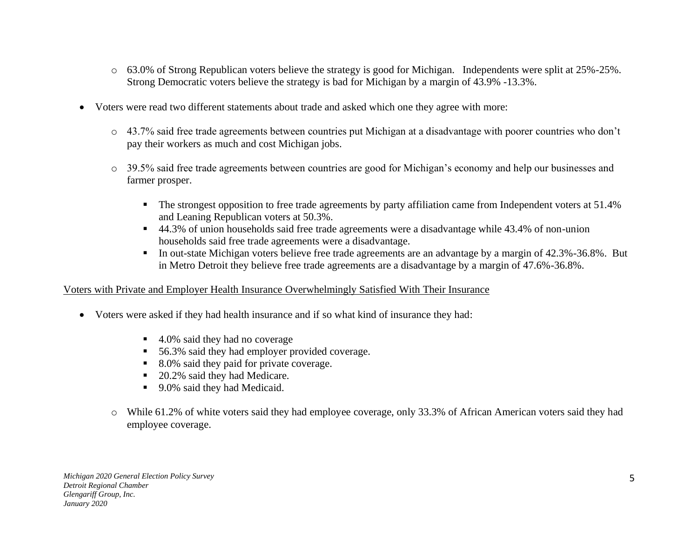- o 63.0% of Strong Republican voters believe the strategy is good for Michigan. Independents were split at 25%-25%. Strong Democratic voters believe the strategy is bad for Michigan by a margin of 43.9% -13.3%.
- Voters were read two different statements about trade and asked which one they agree with more:
	- o 43.7% said free trade agreements between countries put Michigan at a disadvantage with poorer countries who don't pay their workers as much and cost Michigan jobs.
	- o 39.5% said free trade agreements between countries are good for Michigan's economy and help our businesses and farmer prosper.
		- The strongest opposition to free trade agreements by party affiliation came from Independent voters at 51.4% and Leaning Republican voters at 50.3%.
		- 44.3% of union households said free trade agreements were a disadvantage while 43.4% of non-union households said free trade agreements were a disadvantage.
		- In out-state Michigan voters believe free trade agreements are an advantage by a margin of 42.3%-36.8%. But in Metro Detroit they believe free trade agreements are a disadvantage by a margin of 47.6%-36.8%.

#### Voters with Private and Employer Health Insurance Overwhelmingly Satisfied With Their Insurance

- Voters were asked if they had health insurance and if so what kind of insurance they had:
	- 4.0% said they had no coverage
	- 56.3% said they had employer provided coverage.
	- 8.0% said they paid for private coverage.
	- 20.2% said they had Medicare.
	- 9.0% said they had Medicaid.
	- o While 61.2% of white voters said they had employee coverage, only 33.3% of African American voters said they had employee coverage.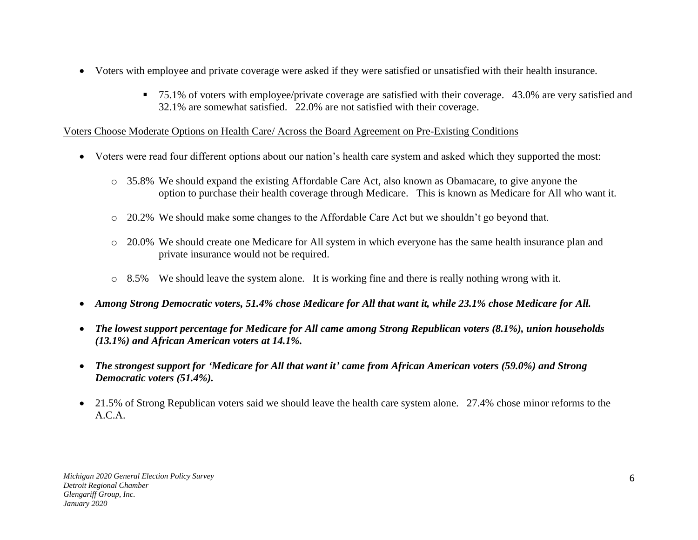- Voters with employee and private coverage were asked if they were satisfied or unsatisfied with their health insurance.
	- 75.1% of voters with employee/private coverage are satisfied with their coverage. 43.0% are very satisfied and 32.1% are somewhat satisfied. 22.0% are not satisfied with their coverage.

## Voters Choose Moderate Options on Health Care/ Across the Board Agreement on Pre-Existing Conditions

- Voters were read four different options about our nation's health care system and asked which they supported the most:
	- o 35.8% We should expand the existing Affordable Care Act, also known as Obamacare, to give anyone the option to purchase their health coverage through Medicare. This is known as Medicare for All who want it.
	- $\circ$  20.2% We should make some changes to the Affordable Care Act but we shouldn't go beyond that.
	- o 20.0% We should create one Medicare for All system in which everyone has the same health insurance plan and private insurance would not be required.
	- $\circ$  8.5% We should leave the system alone. It is working fine and there is really nothing wrong with it.
- *Among Strong Democratic voters, 51.4% chose Medicare for All that want it, while 23.1% chose Medicare for All.*
- *The lowest support percentage for Medicare for All came among Strong Republican voters (8.1%), union households (13.1%) and African American voters at 14.1%.*
- *The strongest support for 'Medicare for All that want it' came from African American voters (59.0%) and Strong Democratic voters (51.4%).*
- 21.5% of Strong Republican voters said we should leave the health care system alone. 27.4% chose minor reforms to the A.C.A.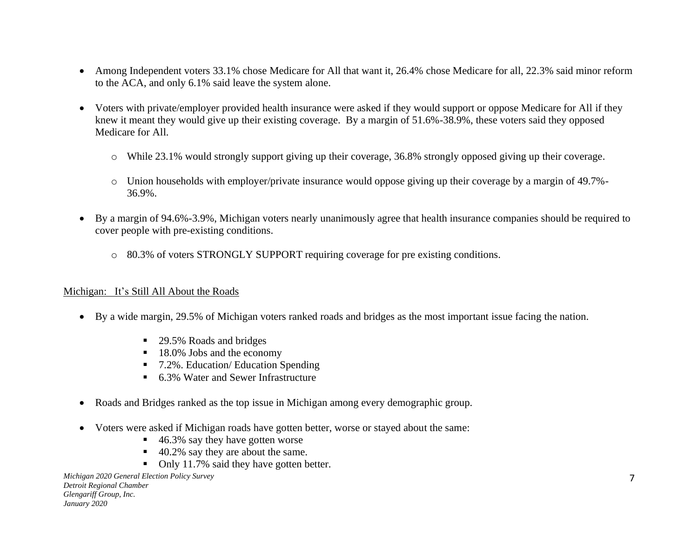- Among Independent voters 33.1% chose Medicare for All that want it, 26.4% chose Medicare for all, 22.3% said minor reform to the ACA, and only 6.1% said leave the system alone.
- Voters with private/employer provided health insurance were asked if they would support or oppose Medicare for All if they knew it meant they would give up their existing coverage. By a margin of 51.6%-38.9%, these voters said they opposed Medicare for All.
	- o While 23.1% would strongly support giving up their coverage, 36.8% strongly opposed giving up their coverage.
	- o Union households with employer/private insurance would oppose giving up their coverage by a margin of 49.7%- 36.9%.
- By a margin of 94.6%-3.9%, Michigan voters nearly unanimously agree that health insurance companies should be required to cover people with pre-existing conditions.
	- o 80.3% of voters STRONGLY SUPPORT requiring coverage for pre existing conditions.

#### Michigan: It's Still All About the Roads

- By a wide margin, 29.5% of Michigan voters ranked roads and bridges as the most important issue facing the nation.
	- 29.5% Roads and bridges
	- 18.0% Jobs and the economy
	- 7.2%. Education/ Education Spending
	- 6.3% Water and Sewer Infrastructure
- Roads and Bridges ranked as the top issue in Michigan among every demographic group.
- Voters were asked if Michigan roads have gotten better, worse or stayed about the same:
	- $\blacksquare$  46.3% say they have gotten worse
	- 40.2% say they are about the same.
	- Only 11.7% said they have gotten better.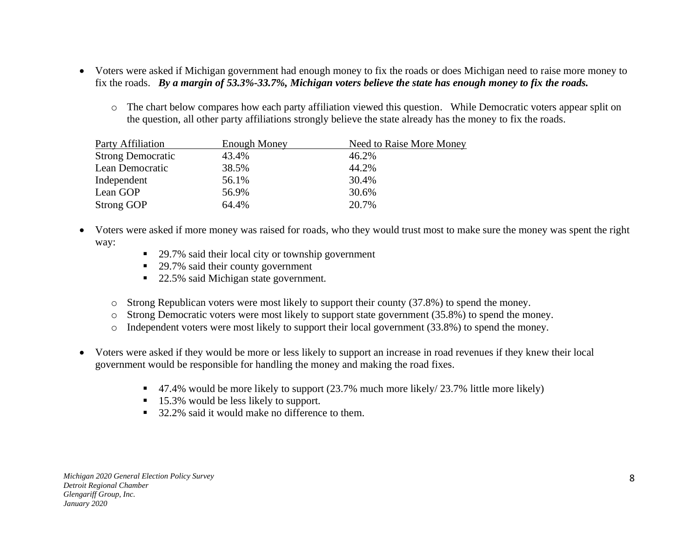- Voters were asked if Michigan government had enough money to fix the roads or does Michigan need to raise more money to fix the roads. *By a margin of 53.3%-33.7%, Michigan voters believe the state has enough money to fix the roads.* 
	- o The chart below compares how each party affiliation viewed this question. While Democratic voters appear split on the question, all other party affiliations strongly believe the state already has the money to fix the roads.

| <b>Party Affiliation</b> | <b>Enough Money</b> | Need to Raise More Money |
|--------------------------|---------------------|--------------------------|
| <b>Strong Democratic</b> | 43.4%               | 46.2%                    |
| Lean Democratic          | 38.5%               | 44.2%                    |
| Independent              | 56.1%               | 30.4%                    |
| Lean GOP                 | 56.9%               | 30.6%                    |
| <b>Strong GOP</b>        | 64.4%               | 20.7%                    |

- Voters were asked if more money was raised for roads, who they would trust most to make sure the money was spent the right way:
	- 29.7% said their local city or township government
	- 29.7% said their county government
	- 22.5% said Michigan state government.
	- o Strong Republican voters were most likely to support their county (37.8%) to spend the money.
	- o Strong Democratic voters were most likely to support state government (35.8%) to spend the money.
	- o Independent voters were most likely to support their local government (33.8%) to spend the money.
- Voters were asked if they would be more or less likely to support an increase in road revenues if they knew their local government would be responsible for handling the money and making the road fixes.
	- 47.4% would be more likely to support (23.7% much more likely/ 23.7% little more likely)
	- 15.3% would be less likely to support.
	- 32.2% said it would make no difference to them.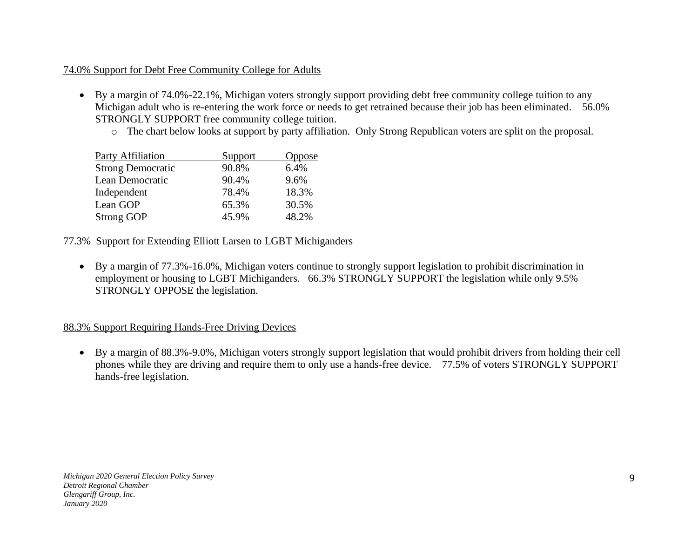## 74.0% Support for Debt Free Community College for Adults

- By a margin of 74.0%-22.1%, Michigan voters strongly support providing debt free community college tuition to any Michigan adult who is re-entering the work force or needs to get retrained because their job has been eliminated. 56.0% STRONGLY SUPPORT free community college tuition.
	- o The chart below looks at support by party affiliation. Only Strong Republican voters are split on the proposal.

| Party Affiliation        | Support | Oppose |
|--------------------------|---------|--------|
| <b>Strong Democratic</b> | 90.8%   | 6.4%   |
| Lean Democratic          | 90.4%   | 9.6%   |
| Independent              | 78.4%   | 18.3%  |
| Lean GOP                 | 65.3%   | 30.5%  |
| <b>Strong GOP</b>        | 45.9%   | 48.2%  |

## 77.3% Support for Extending Elliott Larsen to LGBT Michiganders

• By a margin of 77.3%-16.0%, Michigan voters continue to strongly support legislation to prohibit discrimination in employment or housing to LGBT Michiganders. 66.3% STRONGLY SUPPORT the legislation while only 9.5% STRONGLY OPPOSE the legislation.

## 88.3% Support Requiring Hands-Free Driving Devices

• By a margin of 88.3%-9.0%, Michigan voters strongly support legislation that would prohibit drivers from holding their cell phones while they are driving and require them to only use a hands-free device. 77.5% of voters STRONGLY SUPPORT hands-free legislation.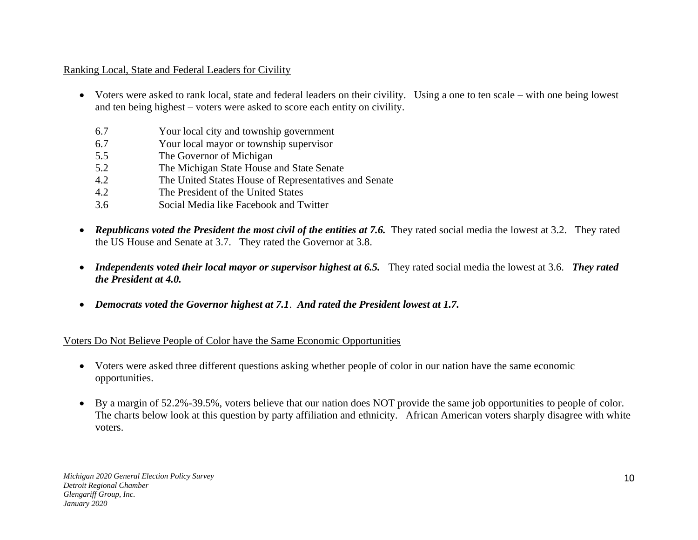## Ranking Local, State and Federal Leaders for Civility

- Voters were asked to rank local, state and federal leaders on their civility. Using a one to ten scale with one being lowest and ten being highest – voters were asked to score each entity on civility.
	- 6.7 Your local city and township government
	- 6.7 Your local mayor or township supervisor
	- 5.5 The Governor of Michigan
	- 5.2 The Michigan State House and State Senate
	- 4.2 The United States House of Representatives and Senate
	- 4.2 The President of the United States
	- 3.6 Social Media like Facebook and Twitter
- *Republicans voted the President the most civil of the entities at 7.6.* They rated social media the lowest at 3.2. They rated the US House and Senate at 3.7. They rated the Governor at 3.8.
- *Independents voted their local mayor or supervisor highest at 6.5.* They rated social media the lowest at 3.6. *They rated the President at 4.0.*
- *Democrats voted the Governor highest at 7.1*. *And rated the President lowest at 1.7.*

Voters Do Not Believe People of Color have the Same Economic Opportunities

- Voters were asked three different questions asking whether people of color in our nation have the same economic opportunities.
- By a margin of 52.2%-39.5%, voters believe that our nation does NOT provide the same job opportunities to people of color. The charts below look at this question by party affiliation and ethnicity. African American voters sharply disagree with white voters.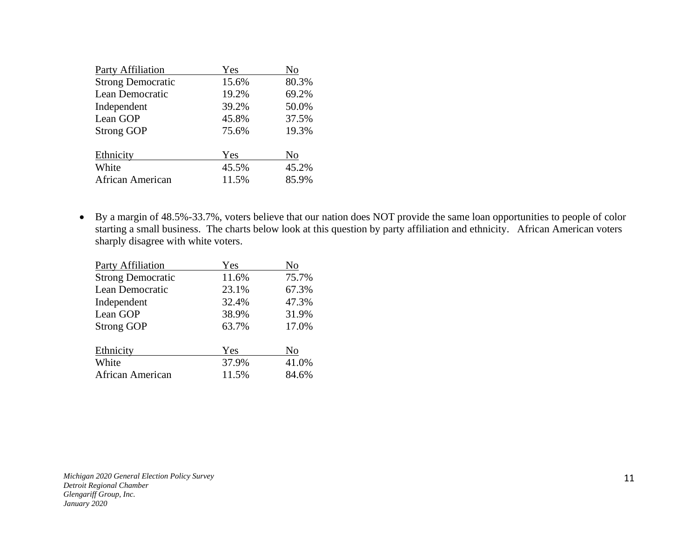| <b>Party Affiliation</b> | Yes   | No    |
|--------------------------|-------|-------|
| <b>Strong Democratic</b> | 15.6% | 80.3% |
| Lean Democratic          | 19.2% | 69.2% |
| Independent              | 39.2% | 50.0% |
| Lean GOP                 | 45.8% | 37.5% |
| <b>Strong GOP</b>        | 75.6% | 19.3% |
|                          |       |       |
| Ethnicity                | Yes   | No    |
| White                    | 45.5% | 45.2% |
| African American         | 11.5% | 85.9% |

• By a margin of 48.5%-33.7%, voters believe that our nation does NOT provide the same loan opportunities to people of color starting a small business. The charts below look at this question by party affiliation and ethnicity. African American voters sharply disagree with white voters.

| Party Affiliation        | Yes   | No    |
|--------------------------|-------|-------|
| <b>Strong Democratic</b> | 11.6% | 75.7% |
| Lean Democratic          | 23.1% | 67.3% |
| Independent              | 32.4% | 47.3% |
| Lean GOP                 | 38.9% | 31.9% |
| <b>Strong GOP</b>        | 63.7% | 17.0% |
| Ethnicity                | Yes   | No    |
| White                    | 37.9% | 41.0% |
| African American         | 11.5% | 84.6% |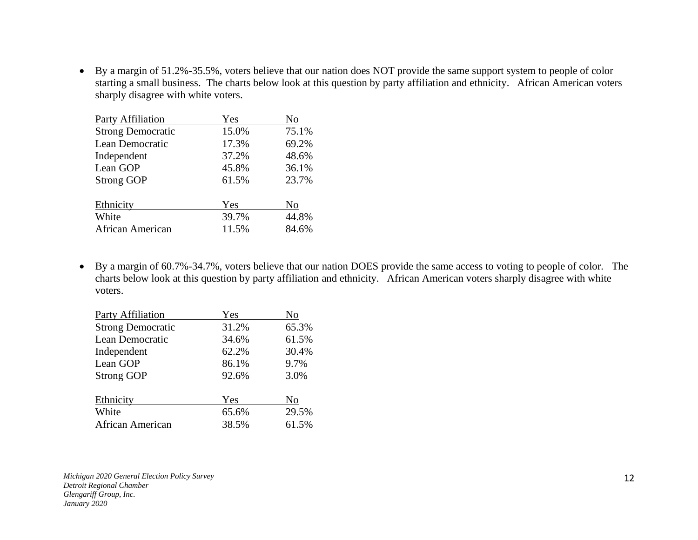• By a margin of 51.2%-35.5%, voters believe that our nation does NOT provide the same support system to people of color starting a small business. The charts below look at this question by party affiliation and ethnicity. African American voters sharply disagree with white voters.

| <b>Party Affiliation</b> | Yes   | No    |
|--------------------------|-------|-------|
| <b>Strong Democratic</b> | 15.0% | 75.1% |
| Lean Democratic          | 17.3% | 69.2% |
| Independent              | 37.2% | 48.6% |
| Lean GOP                 | 45.8% | 36.1% |
| <b>Strong GOP</b>        | 61.5% | 23.7% |
| Ethnicity                | Yes   | No    |
| White                    | 39.7% | 44.8% |
| African American         | 11.5% | 84.6% |

• By a margin of 60.7%-34.7%, voters believe that our nation DOES provide the same access to voting to people of color. The charts below look at this question by party affiliation and ethnicity. African American voters sharply disagree with white voters.

| <b>Party Affiliation</b> | Yes   | No    |
|--------------------------|-------|-------|
| <b>Strong Democratic</b> | 31.2% | 65.3% |
| Lean Democratic          | 34.6% | 61.5% |
| Independent              | 62.2% | 30.4% |
| Lean GOP                 | 86.1% | 9.7%  |
| <b>Strong GOP</b>        | 92.6% | 3.0%  |
| Ethnicity                | Yes   | No    |
| White                    | 65.6% | 29.5% |
| African American         | 38.5% | 61.5% |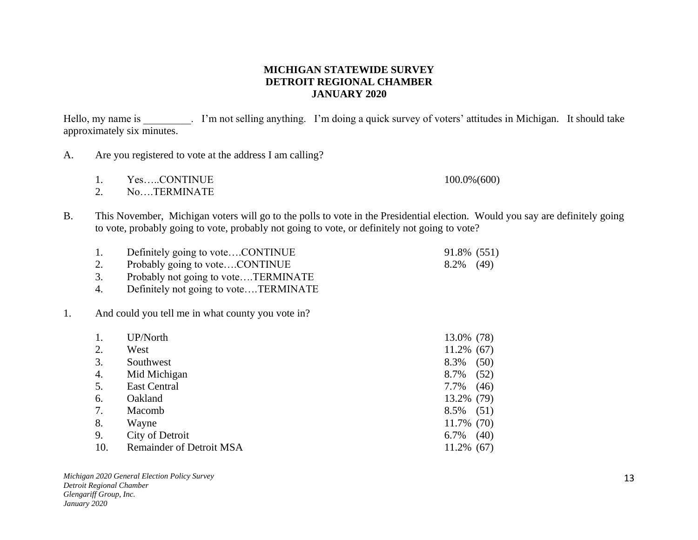#### **MICHIGAN STATEWIDE SURVEY DETROIT REGIONAL CHAMBER JANUARY 2020**

Hello, my name is . I'm not selling anything. I'm doing a quick survey of voters' attitudes in Michigan. It should take approximately six minutes.

- A. Are you registered to vote at the address I am calling?
	- 1. Yes.....CONTINUE 100.0% (600)
	- 2. No….TERMINATE
- B. This November, Michigan voters will go to the polls to vote in the Presidential election. Would you say are definitely going to vote, probably going to vote, probably not going to vote, or definitely not going to vote?
	- 1. Definitely going to vote....CONTINUE 91.8% (551)
	- 2. Probably going to vote....CONTINUE 8.2% (49)
	- 3. Probably not going to vote….TERMINATE
	- 4. Definitely not going to vote….TERMINATE

#### 1. And could you tell me in what county you vote in?

|     | UP/North                        | 13.0% (78)    |      |
|-----|---------------------------------|---------------|------|
| 2.  | West                            | $11.2\%$ (67) |      |
| 3.  | Southwest                       | 8.3%          | (50) |
| 4.  | Mid Michigan                    | 8.7%          | (52) |
| 5.  | East Central                    | 7.7%          | (46) |
| 6.  | Oakland                         | 13.2% (79)    |      |
| 7.  | Macomb                          | 8.5%          | (51) |
| 8.  | Wayne                           | 11.7% (70)    |      |
| 9.  | City of Detroit                 | 6.7%          | (40) |
| 10. | <b>Remainder of Detroit MSA</b> | $11.2\%$ (67) |      |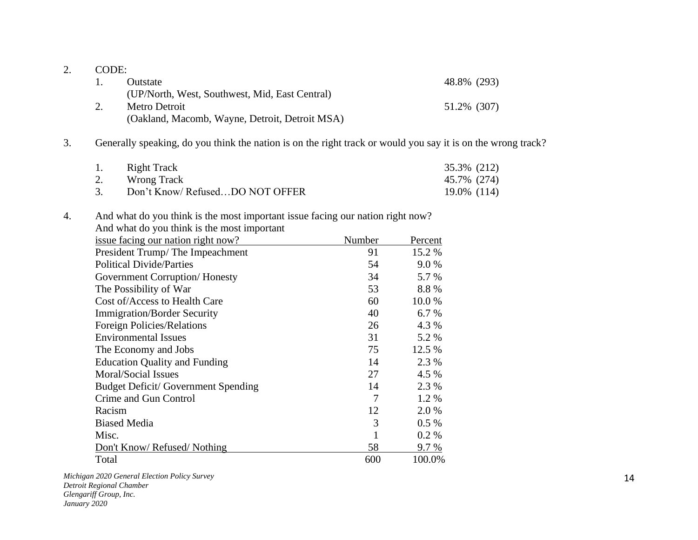| Outstate                                       | 48.8% (293) |
|------------------------------------------------|-------------|
| (UP/North, West, Southwest, Mid, East Central) |             |
| Metro Detroit                                  | 51.2% (307) |
| (Oakland, Macomb, Wayne, Detroit, Detroit MSA) |             |

## 3. Generally speaking, do you think the nation is on the right track or would you say it is on the wrong track?

| 1. | <b>Right Track</b>             | 35.3% (212) |
|----|--------------------------------|-------------|
| 2. | Wrong Track                    | 45.7% (274) |
|    | Don't Know/RefusedDO NOT OFFER | 19.0% (114) |

## 4. And what do you think is the most important issue facing our nation right now? And what do you think is the most important

| issue facing our nation right now?         | Number | Percent |
|--------------------------------------------|--------|---------|
| President Trump/The Impeachment            | 91     | 15.2 %  |
| <b>Political Divide/Parties</b>            | 54     | 9.0%    |
| Government Corruption/Honesty              | 34     | 5.7 %   |
| The Possibility of War                     | 53     | 8.8%    |
| Cost of/Access to Health Care              | 60     | 10.0 %  |
| <b>Immigration/Border Security</b>         | 40     | 6.7 %   |
| Foreign Policies/Relations                 | 26     | 4.3 %   |
| <b>Environmental Issues</b>                | 31     | 5.2 %   |
| The Economy and Jobs                       | 75     | 12.5 %  |
| <b>Education Quality and Funding</b>       | 14     | 2.3 %   |
| Moral/Social Issues                        | 27     | 4.5 %   |
| <b>Budget Deficit/ Government Spending</b> | 14     | 2.3 %   |
| Crime and Gun Control                      | 7      | 1.2 %   |
| Racism                                     | 12     | 2.0 %   |
| <b>Biased Media</b>                        | 3      | $0.5\%$ |
| Misc.                                      |        | $0.2\%$ |
| Don't Know/ Refused/ Nothing               | 58     | 9.7 %   |
| Total                                      | 600    | 100.0%  |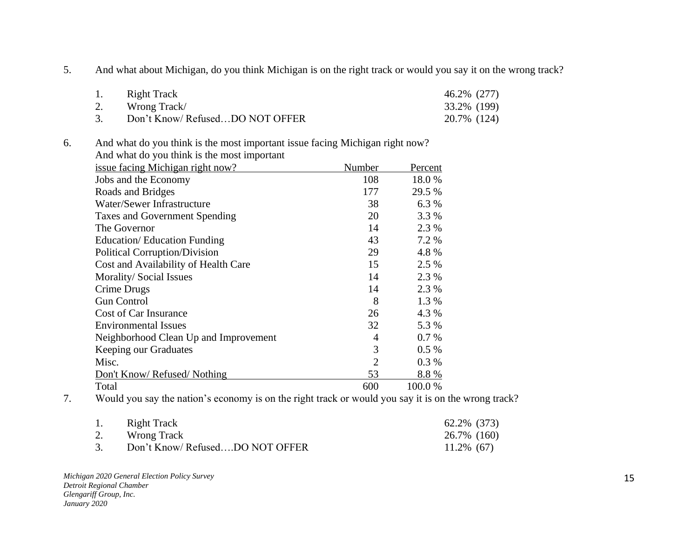5. And what about Michigan, do you think Michigan is on the right track or would you say it on the wrong track?

|    | Right Track                    | 46.2% (277) |
|----|--------------------------------|-------------|
| 2. | Wrong Track/                   | 33.2% (199) |
|    | Don't Know/RefusedDO NOT OFFER | 20.7% (124) |

6. And what do you think is the most important issue facing Michigan right now?

| And what do you think is the most important |                |         |
|---------------------------------------------|----------------|---------|
| issue facing Michigan right now?            | Number         | Percent |
| Jobs and the Economy                        | 108            | 18.0%   |
| Roads and Bridges                           | 177            | 29.5 %  |
| Water/Sewer Infrastructure                  | 38             | 6.3 %   |
| Taxes and Government Spending               | 20             | 3.3 %   |
| The Governor                                | 14             | 2.3 %   |
| <b>Education/ Education Funding</b>         | 43             | 7.2 %   |
| <b>Political Corruption/Division</b>        | 29             | 4.8%    |
| Cost and Availability of Health Care        | 15             | 2.5 %   |
| Morality/Social Issues                      | 14             | 2.3 %   |
| Crime Drugs                                 | 14             | 2.3 %   |
| <b>Gun Control</b>                          | 8              | 1.3 %   |
| Cost of Car Insurance                       | 26             | 4.3 %   |
| <b>Environmental Issues</b>                 | 32             | 5.3 %   |
| Neighborhood Clean Up and Improvement       | 4              | 0.7%    |
| Keeping our Graduates                       | 3              | $0.5\%$ |
| Misc.                                       | $\overline{2}$ | $0.3\%$ |
| Don't Know/ Refused/ Nothing                | 53             | 8.8%    |
| Total                                       | 600            | 100.0 % |

7. Would you say the nation's economy is on the right track or would you say it is on the wrong track?

| 1. | Right Track                    | 62.2% (373)   |
|----|--------------------------------|---------------|
| 2. | Wrong Track                    | 26.7% (160)   |
| 3. | Don't Know/RefusedDO NOT OFFER | $11.2\%$ (67) |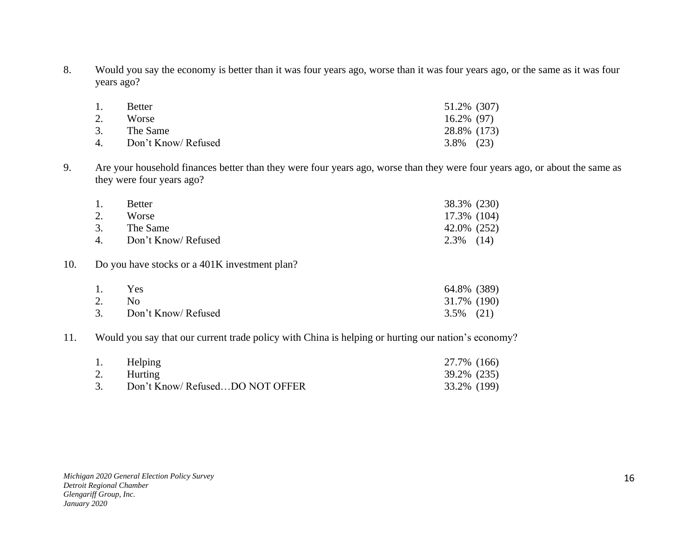8. Would you say the economy is better than it was four years ago, worse than it was four years ago, or the same as it was four years ago?

| 1. | <b>Better</b>       | 51.2% (307)   |
|----|---------------------|---------------|
| 2. | Worse               | $16.2\%$ (97) |
| 3. | The Same            | 28.8% (173)   |
| 4  | Don't Know/ Refused | $3.8\%$ (23)  |

9. Are your household finances better than they were four years ago, worse than they were four years ago, or about the same as they were four years ago?

| 1. | <b>Better</b>          | 38.3% (230)  |
|----|------------------------|--------------|
| 2. | Worse                  | 17.3% (104)  |
| 3. | The Same               | 42.0% (252)  |
|    | 4. Don't Know/ Refused | $2.3\%$ (14) |

## 10. Do you have stocks or a 401K investment plan?

| 1. | <b>Yes</b>             | 64.8% (389)  |
|----|------------------------|--------------|
| 2. | No.                    | 31.7% (190)  |
|    | 3. Don't Know/ Refused | $3.5\%$ (21) |

#### 11. Would you say that our current trade policy with China is helping or hurting our nation's economy?

| 1. | Helping                        | 27.7% (166) |  |
|----|--------------------------------|-------------|--|
|    | 2. Hurting                     | 39.2% (235) |  |
|    | Don't Know/RefusedDO NOT OFFER | 33.2% (199) |  |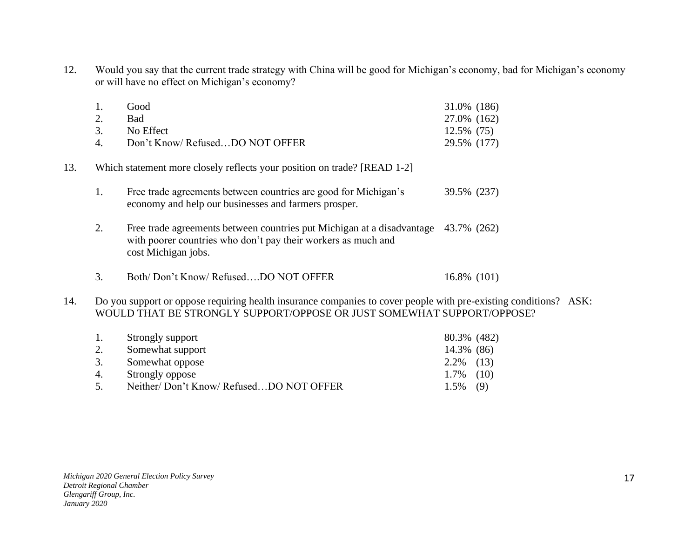12. Would you say that the current trade strategy with China will be good for Michigan's economy, bad for Michigan's economy or will have no effect on Michigan's economy?

| 1. | Good                           | 31.0% (186) |
|----|--------------------------------|-------------|
| 2. | <b>Bad</b>                     | 27.0% (162) |
|    | 3. No Effect                   | 12.5% (75)  |
| 4  | Don't Know/RefusedDO NOT OFFER | 29.5% (177) |

- 13. Which statement more closely reflects your position on trade? [READ 1-2]
	- 1. Free trade agreements between countries are good for Michigan's 39.5% (237) economy and help our businesses and farmers prosper.
	- 2. Free trade agreements between countries put Michigan at a disadvantage 43.7% (262) with poorer countries who don't pay their workers as much and cost Michigan jobs.
	- 3. Both/Don't Know/ Refused...DO NOT OFFER 16.8% (101)
- 14. Do you support or oppose requiring health insurance companies to cover people with pre-existing conditions? ASK: WOULD THAT BE STRONGLY SUPPORT/OPPOSE OR JUST SOMEWHAT SUPPORT/OPPOSE?

| 1. | Strongly support                       | 80.3% (482)  |  |
|----|----------------------------------------|--------------|--|
| 2. | Somewhat support                       | 14.3% (86)   |  |
| 3. | Somewhat oppose                        | $2.2\%$ (13) |  |
| 4. | Strongly oppose                        | $1.7\%$ (10) |  |
| 5. | Neither/Don't Know/RefusedDO NOT OFFER | $1.5\%$ (9)  |  |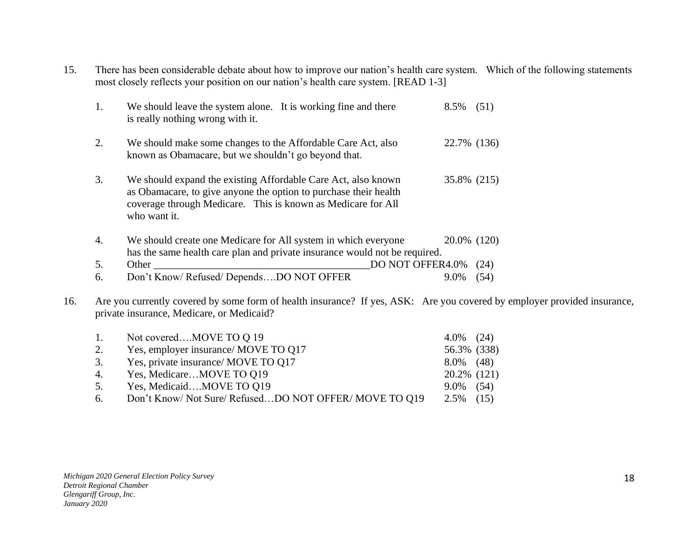15. There has been considerable debate about how to improve our nation's health care system. Which of the following statements most closely reflects your position on our nation's health care system. [READ 1-3]

| 1. | We should leave the system alone. It is working fine and there<br>is really nothing wrong with it.                                                                                                                | 8.5%        | (51) |
|----|-------------------------------------------------------------------------------------------------------------------------------------------------------------------------------------------------------------------|-------------|------|
| 2. | We should make some changes to the Affordable Care Act, also<br>known as Obamacare, but we shouldn't go beyond that.                                                                                              | 22.7% (136) |      |
| 3. | We should expand the existing Affordable Care Act, also known<br>as Obamacare, to give anyone the option to purchase their health<br>coverage through Medicare. This is known as Medicare for All<br>who want it. | 35.8% (215) |      |
| 4. | We should create one Medicare for All system in which everyone                                                                                                                                                    | 20.0% (120) |      |
|    | has the same health care plan and private insurance would not be required.                                                                                                                                        |             |      |
| 5. | DO NOT OFFER4.0%<br>Other                                                                                                                                                                                         |             | (24) |
| 6. | Don't Know/ Refused/ DependsDO NOT OFFER                                                                                                                                                                          | 9.0%        | (54) |

16. Are you currently covered by some form of health insurance? If yes, ASK: Are you covered by employer provided insurance, private insurance, Medicare, or Medicaid?

|    | 1. Not coveredMOVE TO Q 19                          | $4.0\%$ (24) |  |
|----|-----------------------------------------------------|--------------|--|
| 2. | Yes, employer insurance/ MOVE TO Q17                | 56.3% (338)  |  |
|    | 3. Yes, private insurance/ MOVE TO Q17              | $8.0\%$ (48) |  |
|    | 4. Yes, MedicareMOVE TO Q19                         | 20.2% (121)  |  |
| 5. | Yes, MedicaidMOVE TO Q19                            | $9.0\%$ (54) |  |
| 6. | Don't Know/Not Sure/RefusedDO NOT OFFER/MOVE TO 019 | $2.5\%$ (15) |  |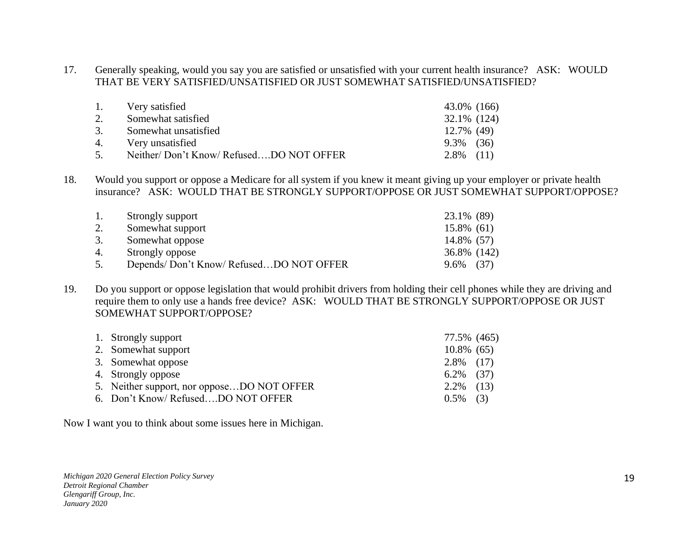17. Generally speaking, would you say you are satisfied or unsatisfied with your current health insurance? ASK: WOULD THAT BE VERY SATISFIED/UNSATISFIED OR JUST SOMEWHAT SATISFIED/UNSATISFIED?

| 1. | Very satisfied                         | 43.0% (166)  |  |
|----|----------------------------------------|--------------|--|
|    | Somewhat satisfied                     | 32.1% (124)  |  |
| 3. | Somewhat unsatisfied                   | 12.7% (49)   |  |
| 4. | Very unsatisfied                       | $9.3\%$ (36) |  |
| 5. | Neither/Don't Know/RefusedDO NOT OFFER | $2.8\%$ (11) |  |

18. Would you support or oppose a Medicare for all system if you knew it meant giving up your employer or private health insurance? ASK: WOULD THAT BE STRONGLY SUPPORT/OPPOSE OR JUST SOMEWHAT SUPPORT/OPPOSE?

| 1. | Strongly support                       | 23.1% (89)   |
|----|----------------------------------------|--------------|
| 2. | Somewhat support                       | 15.8% (61)   |
| 3. | Somewhat oppose                        | 14.8% (57)   |
| 4. | Strongly oppose                        | 36.8% (142)  |
|    | Depends/Don't Know/RefusedDO NOT OFFER | (37)<br>9.6% |

19. Do you support or oppose legislation that would prohibit drivers from holding their cell phones while they are driving and require them to only use a hands free device? ASK: WOULD THAT BE STRONGLY SUPPORT/OPPOSE OR JUST SOMEWHAT SUPPORT/OPPOSE?

| 1. Strongly support                        | 77.5% (465)   |  |
|--------------------------------------------|---------------|--|
| 2. Somewhat support                        | $10.8\%$ (65) |  |
| 3. Somewhat oppose                         | $2.8\%$ (17)  |  |
| 4. Strongly oppose                         | $6.2\%$ (37)  |  |
| 5. Neither support, nor opposeDO NOT OFFER | $2.2\%$ (13)  |  |
| 6. Don't Know/RefusedDO NOT OFFER          | $0.5\%$ (3)   |  |
|                                            |               |  |

Now I want you to think about some issues here in Michigan.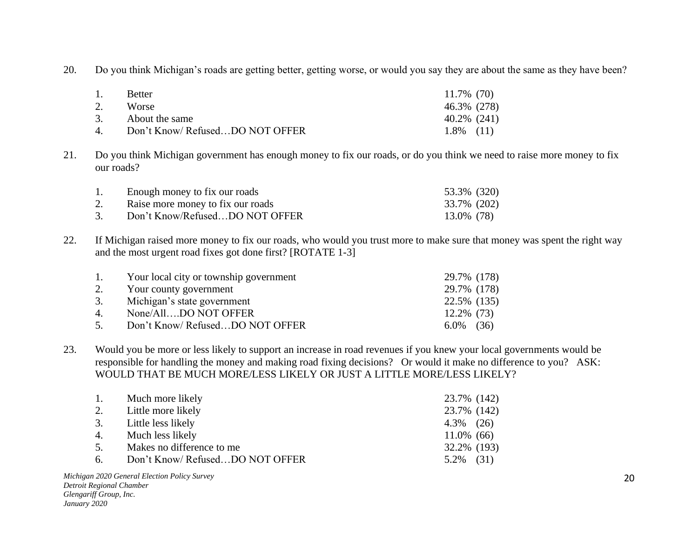20. Do you think Michigan's roads are getting better, getting worse, or would you say they are about the same as they have been?

| 1.            | <b>Better</b>                  | 11.7% (70)   |
|---------------|--------------------------------|--------------|
| 2.            | <b>Worse</b>                   | 46.3% (278)  |
| 3.            | About the same                 | 40.2% (241)  |
| $\mathcal{A}$ | Don't Know/RefusedDO NOT OFFER | $1.8\%$ (11) |

21. Do you think Michigan government has enough money to fix our roads, or do you think we need to raise more money to fix our roads?

|    | Enough money to fix our roads     | 53.3% (320) |  |
|----|-----------------------------------|-------------|--|
| 2. | Raise more money to fix our roads | 33.7% (202) |  |
|    | Don't Know/RefusedDO NOT OFFER    | 13.0% (78)  |  |

22. If Michigan raised more money to fix our roads, who would you trust more to make sure that money was spent the right way and the most urgent road fixes got done first? [ROTATE 1-3]

| Your local city or township government |                                                                            |
|----------------------------------------|----------------------------------------------------------------------------|
| Your county government                 |                                                                            |
| Michigan's state government            |                                                                            |
| None/AllDO NOT OFFER                   |                                                                            |
| Don't Know/RefusedDO NOT OFFER         |                                                                            |
|                                        | 29.7% (178)<br>29.7% (178)<br>22.5% (135)<br>$12.2\%$ (73)<br>$6.0\%$ (36) |

23. Would you be more or less likely to support an increase in road revenues if you knew your local governments would be responsible for handling the money and making road fixing decisions? Or would it make no difference to you? ASK: WOULD THAT BE MUCH MORE/LESS LIKELY OR JUST A LITTLE MORE/LESS LIKELY?

| 1. Much more likely               | 23.7% (142)    |  |
|-----------------------------------|----------------|--|
| 2. Little more likely             | 23.7% (142)    |  |
| 3. Little less likely             | $4.3\%$ $(26)$ |  |
| 4. Much less likely               | $11.0\%$ (66)  |  |
| 5. Makes no difference to me      | 32.2% (193)    |  |
| 6. Don't Know/RefusedDO NOT OFFER | $5.2\%$ (31)   |  |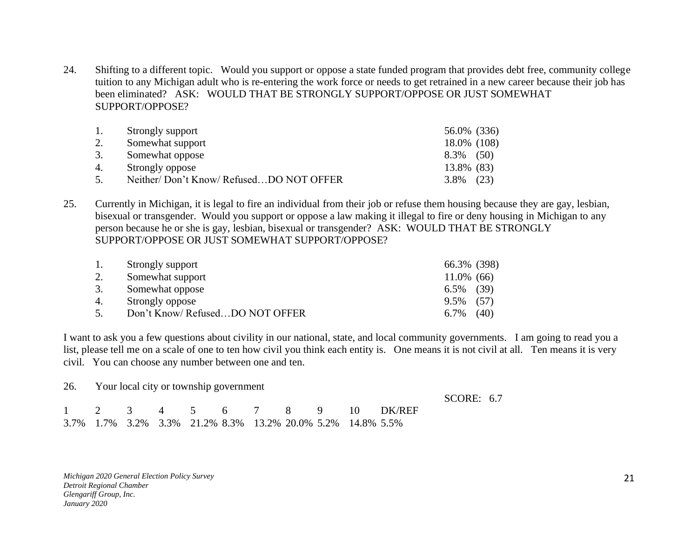24. Shifting to a different topic. Would you support or oppose a state funded program that provides debt free, community college tuition to any Michigan adult who is re-entering the work force or needs to get retrained in a new career because their job has been eliminated? ASK: WOULD THAT BE STRONGLY SUPPORT/OPPOSE OR JUST SOMEWHAT SUPPORT/OPPOSE?

| 1. | Strongly support                       | 56.0% (336)  |  |
|----|----------------------------------------|--------------|--|
| 2. | Somewhat support                       | 18.0% (108)  |  |
| 3. | Somewhat oppose                        | $8.3\%$ (50) |  |
| 4. | Strongly oppose                        | 13.8% (83)   |  |
| 5. | Neither/Don't Know/RefusedDO NOT OFFER | $3.8\%$ (23) |  |

25. Currently in Michigan, it is legal to fire an individual from their job or refuse them housing because they are gay, lesbian, bisexual or transgender. Would you support or oppose a law making it illegal to fire or deny housing in Michigan to any person because he or she is gay, lesbian, bisexual or transgender? ASK: WOULD THAT BE STRONGLY SUPPORT/OPPOSE OR JUST SOMEWHAT SUPPORT/OPPOSE?

| 1. | Strongly support               | 66.3% (398)   |      |
|----|--------------------------------|---------------|------|
| 2. | Somewhat support               | $11.0\%$ (66) |      |
| 3. | Somewhat oppose                | $6.5\%$ (39)  |      |
| 4. | Strongly oppose                | $9.5\%$ (57)  |      |
| 5. | Don't Know/RefusedDO NOT OFFER | 6.7%          | (40) |

I want to ask you a few questions about civility in our national, state, and local community governments. I am going to read you a list, please tell me on a scale of one to ten how civil you think each entity is. One means it is not civil at all. Ten means it is very civil. You can choose any number between one and ten.

26. Your local city or township government

SCORE: 6.7

|  |  |                                                            |  |  | 1 2 3 4 5 6 7 8 9 10 DK/REF |
|--|--|------------------------------------------------------------|--|--|-----------------------------|
|  |  | 3.7% 1.7% 3.2% 3.3% 21.2% 8.3% 13.2% 20.0% 5.2% 14.8% 5.5% |  |  |                             |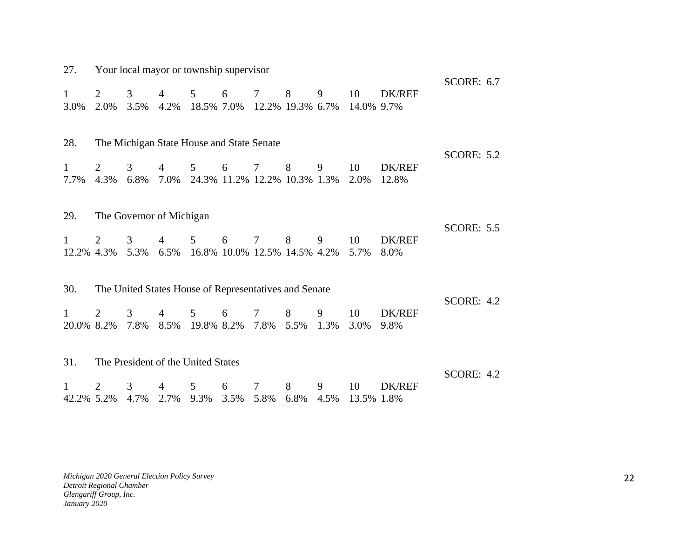| 27.             | Your local mayor or township supervisor |                          |                             |                                                               |                     |                 |   |           |                  |                        |                   |  |
|-----------------|-----------------------------------------|--------------------------|-----------------------------|---------------------------------------------------------------|---------------------|-----------------|---|-----------|------------------|------------------------|-------------------|--|
| 1<br>3.0%       | 2<br>2.0%                               | 3<br>3.5%                | $\overline{4}$              | 5 <sup>5</sup><br>4.2% 18.5% 7.0% 12.2% 19.3% 6.7% 14.0% 9.7% | 6                   | $7\phantom{.0}$ | 8 | 9         | 10               | <b>DK/REF</b>          | <b>SCORE: 6.7</b> |  |
| 28.             |                                         |                          |                             | The Michigan State House and State Senate                     |                     |                 |   |           |                  |                        | <b>SCORE: 5.2</b> |  |
| 1<br>7.7%       | 2<br>4.3%                               | 3                        | $\overline{4}$              | 5 <sup>5</sup><br>6.8% 7.0% 24.3% 11.2% 12.2% 10.3% 1.3% 2.0% | 6                   | $7\,$           | 8 | 9         | 10               | <b>DK/REF</b><br>12.8% |                   |  |
| 29.             |                                         | The Governor of Michigan |                             |                                                               |                     |                 |   |           |                  |                        | <b>SCORE: 5.5</b> |  |
| $\mathbf{1}$    | 2<br>12.2% 4.3%                         | 3                        | $\overline{4}$              | 5 <sup>5</sup><br>5.3% 6.5% 16.8% 10.0% 12.5% 14.5% 4.2%      | 6                   | $7\phantom{.0}$ | 8 | 9         | 10<br>5.7%       | <b>DK/REF</b><br>8.0%  |                   |  |
| 30.             |                                         |                          |                             | The United States House of Representatives and Senate         |                     |                 |   |           |                  |                        |                   |  |
| 1<br>20.0% 8.2% | 2                                       | 3<br>7.8%                | $\overline{4}$              | 5 <sup>5</sup><br>8.5% 19.8% 8.2% 7.8% 5.5% 1.3%              | 6<br>$\overline{7}$ |                 | 8 | 9         | 10<br>3.0%       | <b>DK/REF</b><br>9.8%  | <b>SCORE: 4.2</b> |  |
| 31.             |                                         |                          |                             | The President of the United States                            |                     |                 |   |           |                  |                        |                   |  |
| 42.2% 5.2%      | $\overline{2}$                          | 3<br>4.7%                | $\overline{4}$<br>2.7% 9.3% | 5 <sup>5</sup>                                                | 6<br>3.5% 5.8% 6.8% | $\tau$          | 8 | 9<br>4.5% | 10<br>13.5% 1.8% | DK/REF                 | <b>SCORE: 4.2</b> |  |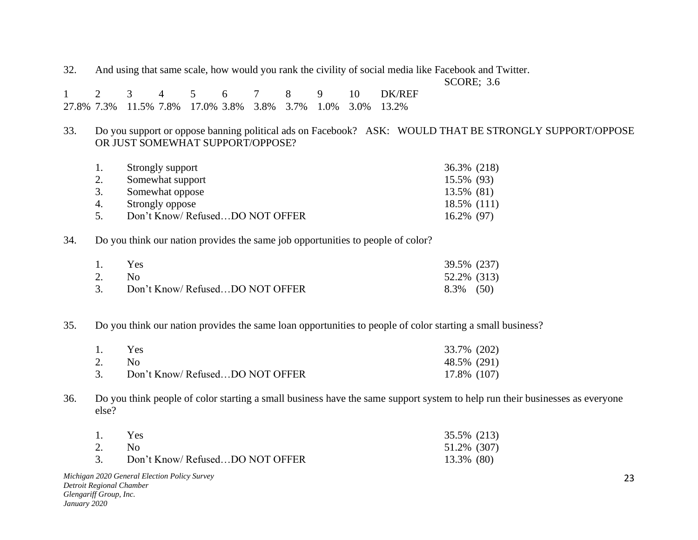32. And using that same scale, how would you rank the civility of social media like Facebook and Twitter.

SCORE; 3.6

|  |  |  |  |  | 1 2 3 4 5 6 7 8 9 10 DK/REF                                |
|--|--|--|--|--|------------------------------------------------------------|
|  |  |  |  |  | 27.8% 7.3% 11.5% 7.8% 17.0% 3.8% 3.8% 3.7% 1.0% 3.0% 13.2% |

33. Do you support or oppose banning political ads on Facebook? ASK: WOULD THAT BE STRONGLY SUPPORT/OPPOSE OR JUST SOMEWHAT SUPPORT/OPPOSE?

|    | Strongly support                | 36.3% (218) |
|----|---------------------------------|-------------|
| 2. | Somewhat support                | 15.5% (93)  |
| 3. | Somewhat oppose                 | 13.5% (81)  |
| 4. | Strongly oppose                 | 18.5% (111) |
| 5. | Don't Know/ RefusedDO NOT OFFER | 16.2% (97)  |

34. Do you think our nation provides the same job opportunities to people of color?

| 1. | <b>Yes</b>                      | 39.5% (237)  |  |
|----|---------------------------------|--------------|--|
| 2. | $N_{\Omega}$                    | 52.2% (313)  |  |
| 3. | Don't Know/ RefusedDO NOT OFFER | $8.3\%$ (50) |  |

35. Do you think our nation provides the same loan opportunities to people of color starting a small business?

| 1. | Yes.                            | 33.7% (202) |
|----|---------------------------------|-------------|
|    |                                 | 48.5% (291) |
|    | Don't Know/ RefusedDO NOT OFFER | 17.8% (107) |

36. Do you think people of color starting a small business have the same support system to help run their businesses as everyone else?

| 1. | <b>Yes</b>                      | 35.5% (213) |
|----|---------------------------------|-------------|
| 2. | No.                             | 51.2% (307) |
| 3. | Don't Know/ RefusedDO NOT OFFER | 13.3% (80)  |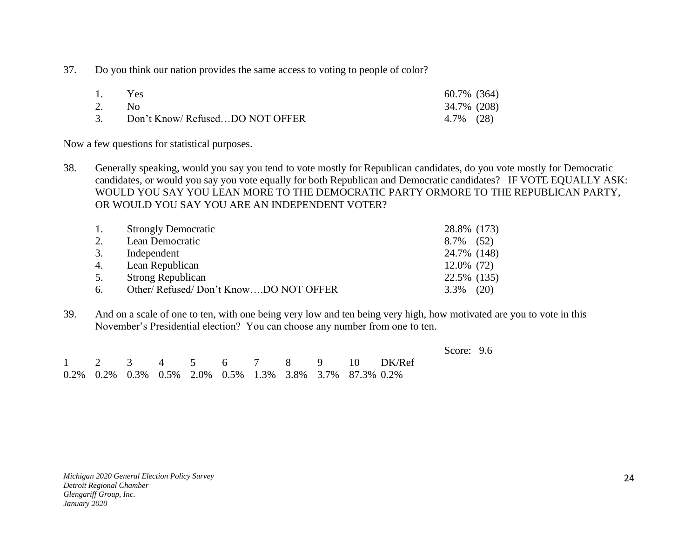37. Do you think our nation provides the same access to voting to people of color?

| 1. Yes |                                   | 60.7% (364) |  |
|--------|-----------------------------------|-------------|--|
| 2. No  |                                   | 34.7% (208) |  |
|        | 3. Don't Know/RefusedDO NOT OFFER | 4.7% (28)   |  |

Now a few questions for statistical purposes.

38. Generally speaking, would you say you tend to vote mostly for Republican candidates, do you vote mostly for Democratic candidates, or would you say you vote equally for both Republican and Democratic candidates? IF VOTE EQUALLY ASK: WOULD YOU SAY YOU LEAN MORE TO THE DEMOCRATIC PARTY ORMORE TO THE REPUBLICAN PARTY, OR WOULD YOU SAY YOU ARE AN INDEPENDENT VOTER?

| -1. | <b>Strongly Democratic</b>           | 28.8% (173)  |
|-----|--------------------------------------|--------------|
| 2.  | Lean Democratic                      | 8.7% (52)    |
| 3.  | Independent                          | 24.7% (148)  |
| 4.  | Lean Republican                      | 12.0% (72)   |
| 5.  | <b>Strong Republican</b>             | 22.5% (135)  |
| 6.  | Other/Refused/Don't KnowDO NOT OFFER | $3.3\%$ (20) |

39. And on a scale of one to ten, with one being very low and ten being very high, how motivated are you to vote in this November's Presidential election? You can choose any number from one to ten.

|  |  |  |  |                                                         |                             | Score: $9.6$ |  |
|--|--|--|--|---------------------------------------------------------|-----------------------------|--------------|--|
|  |  |  |  |                                                         | 1 2 3 4 5 6 7 8 9 10 DK/Ref |              |  |
|  |  |  |  | 0.2% 0.2% 0.3% 0.5% 2.0% 0.5% 1.3% 3.8% 3.7% 87.3% 0.2% |                             |              |  |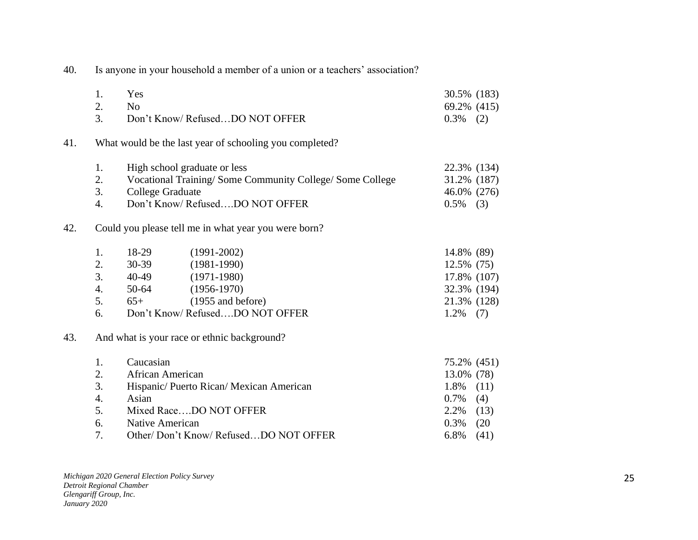40. Is anyone in your household a member of a union or a teachers' association?

|     | 1. | Yes              |                                                         | 30.5% (183)   |      |
|-----|----|------------------|---------------------------------------------------------|---------------|------|
|     | 2. | N <sub>o</sub>   |                                                         | 69.2% (415)   |      |
|     | 3. |                  | Don't Know/RefusedDO NOT OFFER                          | 0.3%          | (2)  |
| 41. |    |                  | What would be the last year of schooling you completed? |               |      |
|     | 1. |                  | High school graduate or less                            | 22.3% (134)   |      |
|     | 2. |                  | Vocational Training/Some Community College/Some College | 31.2% (187)   |      |
|     | 3. | College Graduate |                                                         | 46.0% (276)   |      |
|     | 4. |                  | Don't Know/RefusedDO NOT OFFER                          | 0.5%          | (3)  |
| 42. |    |                  | Could you please tell me in what year you were born?    |               |      |
|     | 1. | 18-29            | $(1991 - 2002)$                                         | 14.8% (89)    |      |
|     | 2. | $30 - 39$        | $(1981 - 1990)$                                         | $12.5\%$ (75) |      |
|     | 3. | 40-49            | $(1971-1980)$                                           | 17.8% (107)   |      |
|     | 4. | 50-64            | $(1956-1970)$                                           | 32.3% (194)   |      |
|     | 5. | $65+$            | (1955 and before)                                       | 21.3% (128)   |      |
|     | 6. |                  | Don't Know/RefusedDO NOT OFFER                          | 1.2%          | (7)  |
| 43. |    |                  | And what is your race or ethnic background?             |               |      |
|     | 1. | Caucasian        |                                                         | 75.2% (451)   |      |
|     | 2. | African American |                                                         | 13.0% (78)    |      |
|     | 3. |                  | Hispanic/Puerto Rican/Mexican American                  | 1.8%          | (11) |
|     | 4. | Asian            |                                                         | 0.7%          | (4)  |
|     | 5. |                  | Mixed RaceDO NOT OFFER                                  | 2.2%          | (13) |
|     | 6. | Native American  |                                                         | 0.3%          | (20) |
|     | 7. |                  | Other/ Don't Know/ RefusedDO NOT OFFER                  | 6.8%          | (41) |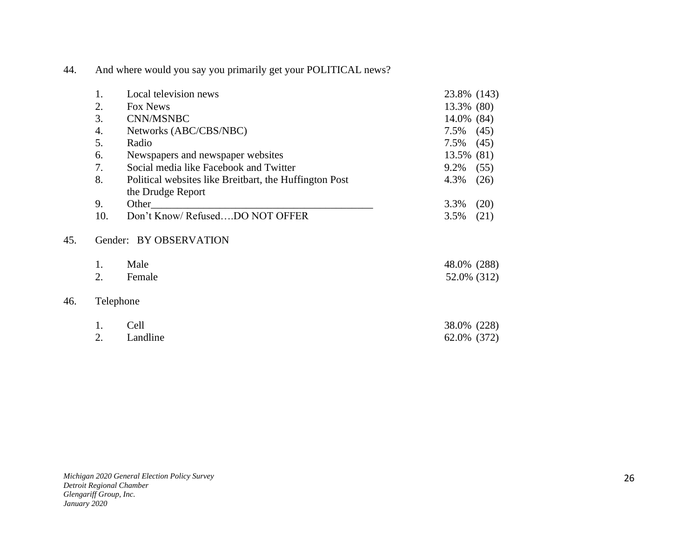| 44. |  | And where would you say you primarily get your POLITICAL news? |
|-----|--|----------------------------------------------------------------|
|     |  |                                                                |

|     | 1.        | Local television news                                  | 23.8% (143)  |  |
|-----|-----------|--------------------------------------------------------|--------------|--|
|     | 2.        | Fox News                                               | 13.3% (80)   |  |
|     | 3.        | CNN/MSNBC                                              | 14.0% (84)   |  |
|     | 4.        | Networks (ABC/CBS/NBC)                                 | 7.5%<br>(45) |  |
|     | 5.        | Radio                                                  | 7.5%<br>(45) |  |
|     | 6.        | Newspapers and newspaper websites                      | 13.5% (81)   |  |
|     | 7.        | Social media like Facebook and Twitter                 | 9.2%<br>(55) |  |
|     | 8.        | Political websites like Breitbart, the Huffington Post | 4.3%<br>(26) |  |
|     |           | the Drudge Report                                      |              |  |
|     | 9.        | Other                                                  | (20)<br>3.3% |  |
|     | 10.       | Don't Know/RefusedDO NOT OFFER                         | 3.5%<br>(21) |  |
| 45. |           | Gender: BY OBSERVATION                                 |              |  |
|     | 1.        | Male                                                   | 48.0% (288)  |  |
|     | 2.        | Female                                                 | 52.0% (312)  |  |
| 46. | Telephone |                                                        |              |  |
|     | 1.        | Cell                                                   | 38.0% (228)  |  |
|     | 2.        | Landline                                               | 62.0% (372)  |  |

46.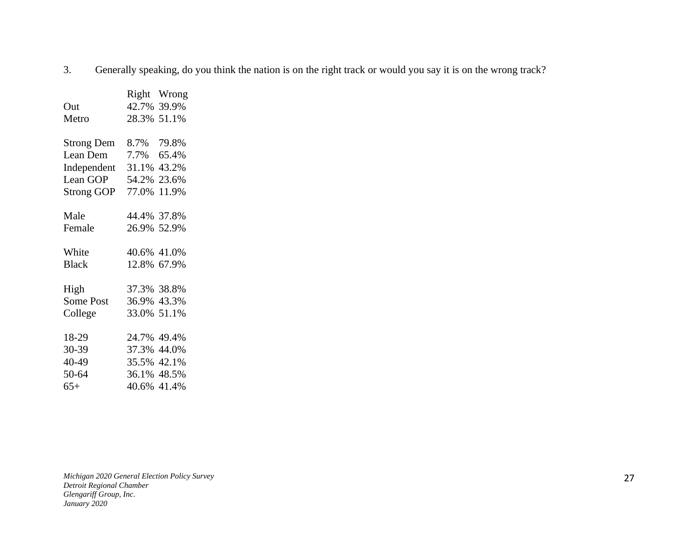3. Generally speaking, do you think the nation is on the right track or would you say it is on the wrong track?

|                   |             | Right Wrong |
|-------------------|-------------|-------------|
| Out               |             | 42.7% 39.9% |
| Metro             | 28.3% 51.1% |             |
|                   |             |             |
| <b>Strong Dem</b> | 8.7% 79.8%  |             |
| Lean Dem          | 7.7%        | 65.4%       |
| Independent       | 31.1% 43.2% |             |
| Lean GOP          | 54.2%       | 23.6%       |
| Strong GOP        | 77.0%       | 11.9%       |
|                   |             |             |
| Male              | 44.4% 37.8% |             |
| Female            | 26.9% 52.9% |             |
|                   |             |             |
| White             | 40.6% 41.0% |             |
| <b>Black</b>      | 12.8% 67.9% |             |
| High              | 37.3% 38.8% |             |
| Some Post         | 36.9% 43.3% |             |
| College           | 33.0% 51.1% |             |
|                   |             |             |
| 18-29             | 24.7%       | 49.4%       |
| 30-39             | 37.3% 44.0% |             |
| 40-49             | 35.5% 42.1% |             |
| 50-64             | 36.1% 48.5% |             |
| $65+$             | 40.6% 41.4% |             |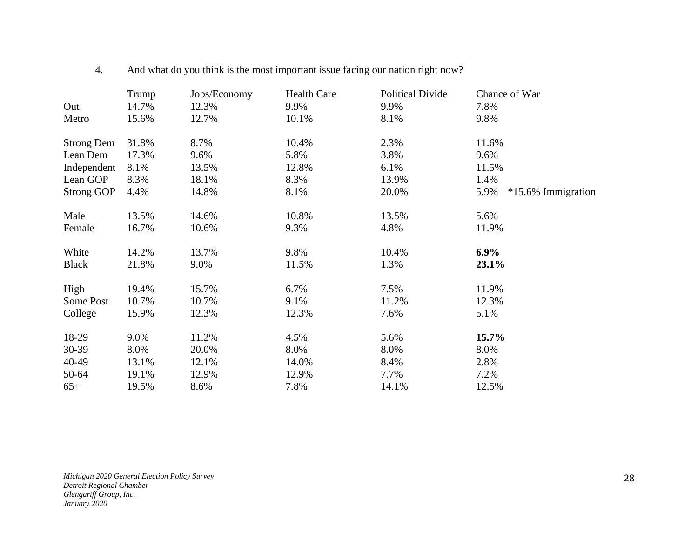|                   | Trump | Jobs/Economy | <b>Health Care</b> | <b>Political Divide</b> | Chance of War              |
|-------------------|-------|--------------|--------------------|-------------------------|----------------------------|
| Out               | 14.7% | 12.3%        | 9.9%               | 9.9%                    | 7.8%                       |
| Metro             | 15.6% | 12.7%        | 10.1%              | 8.1%                    | 9.8%                       |
| <b>Strong Dem</b> | 31.8% | 8.7%         | 10.4%              | 2.3%                    | 11.6%                      |
| Lean Dem          | 17.3% | 9.6%         | 5.8%               | 3.8%                    | 9.6%                       |
| Independent       | 8.1%  | 13.5%        | 12.8%              | 6.1%                    | 11.5%                      |
| Lean GOP          | 8.3%  | 18.1%        | 8.3%               | 13.9%                   | 1.4%                       |
| <b>Strong GOP</b> | 4.4%  | 14.8%        | 8.1%               | 20.0%                   | 5.9%<br>*15.6% Immigration |
| Male              | 13.5% | 14.6%        | 10.8%              | 13.5%                   | 5.6%                       |
| Female            | 16.7% | 10.6%        | 9.3%               | 4.8%                    | 11.9%                      |
| White             | 14.2% | 13.7%        | 9.8%               | 10.4%                   | $6.9\%$                    |
| <b>Black</b>      | 21.8% | 9.0%         | 11.5%              | 1.3%                    | 23.1%                      |
| High              | 19.4% | 15.7%        | 6.7%               | 7.5%                    | 11.9%                      |
| Some Post         | 10.7% | 10.7%        | 9.1%               | 11.2%                   | 12.3%                      |
| College           | 15.9% | 12.3%        | 12.3%              | 7.6%                    | 5.1%                       |
| 18-29             | 9.0%  | 11.2%        | 4.5%               | 5.6%                    | 15.7%                      |
| 30-39             | 8.0%  | 20.0%        | 8.0%               | 8.0%                    | 8.0%                       |
| 40-49             | 13.1% | 12.1%        | 14.0%              | 8.4%                    | 2.8%                       |
| 50-64             | 19.1% | 12.9%        | 12.9%              | 7.7%                    | 7.2%                       |
| $65+$             | 19.5% | 8.6%         | 7.8%               | 14.1%                   | 12.5%                      |

4. And what do you think is the most important issue facing our nation right now?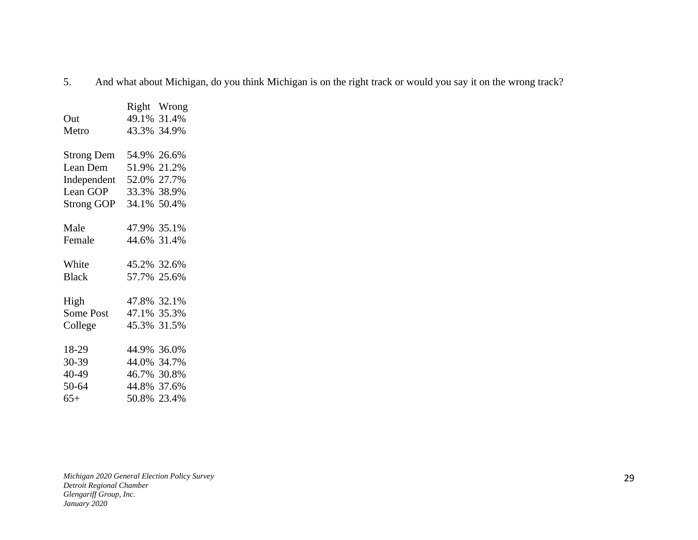5. And what about Michigan, do you think Michigan is on the right track or would you say it on the wrong track?

|                   | Right Wrong |
|-------------------|-------------|
| Out               | 49.1% 31.4% |
| Metro             | 43.3% 34.9% |
|                   |             |
| <b>Strong Dem</b> | 54.9% 26.6% |
| Lean Dem          | 51.9% 21.2% |
| Independent       | 52.0% 27.7% |
| Lean GOP          | 33.3% 38.9% |
| <b>Strong GOP</b> | 34.1% 50.4% |
|                   |             |
| Male              | 47.9% 35.1% |
| Female            | 44.6% 31.4% |
|                   |             |
| White             | 45.2% 32.6% |
| <b>Black</b>      | 57.7% 25.6% |
|                   |             |
| High              | 47.8% 32.1% |
| Some Post         | 47.1% 35.3% |
| College           | 45.3% 31.5% |
|                   |             |
| 18-29             | 44.9% 36.0% |
| 30-39             | 44.0% 34.7% |
| 40-49             | 46.7% 30.8% |
| 50-64             | 44.8% 37.6% |
| $65+$             | 50.8% 23.4% |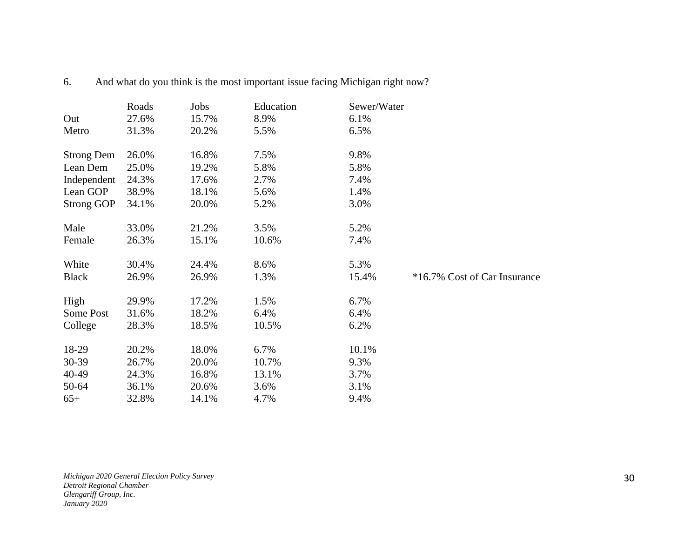|                   | Roads | Jobs  | Education | Sewer/Water |                              |
|-------------------|-------|-------|-----------|-------------|------------------------------|
| Out               | 27.6% | 15.7% | 8.9%      | 6.1%        |                              |
| Metro             | 31.3% | 20.2% | 5.5%      | 6.5%        |                              |
| <b>Strong Dem</b> | 26.0% | 16.8% | 7.5%      | 9.8%        |                              |
| Lean Dem          | 25.0% | 19.2% | 5.8%      | 5.8%        |                              |
| Independent       | 24.3% | 17.6% | 2.7%      | 7.4%        |                              |
| Lean GOP          | 38.9% | 18.1% | 5.6%      | 1.4%        |                              |
| <b>Strong GOP</b> | 34.1% | 20.0% | 5.2%      | 3.0%        |                              |
| Male              | 33.0% | 21.2% | 3.5%      | 5.2%        |                              |
| Female            | 26.3% | 15.1% | 10.6%     | 7.4%        |                              |
| White             | 30.4% | 24.4% | 8.6%      | 5.3%        |                              |
| <b>Black</b>      | 26.9% | 26.9% | 1.3%      | 15.4%       | *16.7% Cost of Car Insurance |
| High              | 29.9% | 17.2% | 1.5%      | 6.7%        |                              |
| Some Post         | 31.6% | 18.2% | 6.4%      | 6.4%        |                              |
| College           | 28.3% | 18.5% | 10.5%     | 6.2%        |                              |
| 18-29             | 20.2% | 18.0% | 6.7%      | 10.1%       |                              |
| 30-39             | 26.7% | 20.0% | 10.7%     | 9.3%        |                              |
| 40-49             | 24.3% | 16.8% | 13.1%     | 3.7%        |                              |
| 50-64             | 36.1% | 20.6% | 3.6%      | 3.1%        |                              |
| $65+$             | 32.8% | 14.1% | 4.7%      | 9.4%        |                              |

6. And what do you think is the most important issue facing Michigan right now?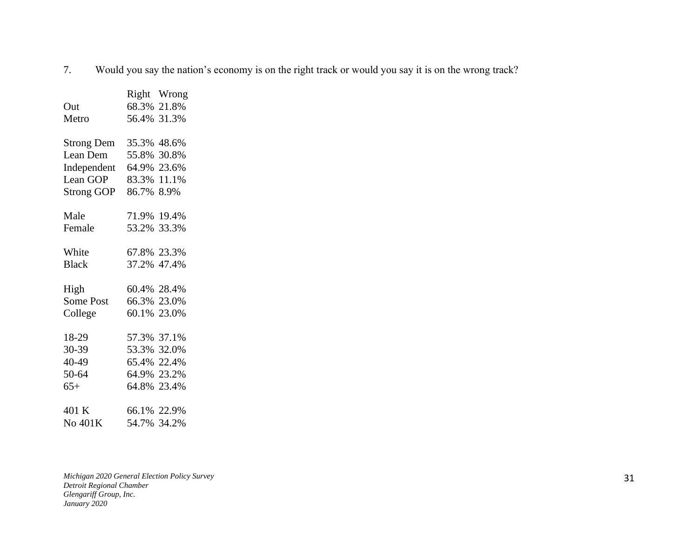7. Would you say the nation's economy is on the right track or would you say it is on the wrong track?

|                   |             | Right Wrong |
|-------------------|-------------|-------------|
| Out               |             | 68.3% 21.8% |
| Metro             |             | 56.4% 31.3% |
|                   |             |             |
| <b>Strong Dem</b> | 35.3% 48.6% |             |
| Lean Dem          | 55.8% 30.8% |             |
| Independent       | 64.9% 23.6% |             |
| Lean GOP          | 83.3% 11.1% |             |
| <b>Strong GOP</b> | 86.7% 8.9%  |             |
|                   |             |             |
| Male              | 71.9%       | 19.4%       |
| Female            | 53.2%       | 33.3%       |
|                   |             |             |
| White             | 67.8% 23.3% |             |
| <b>Black</b>      | 37.2% 47.4% |             |
|                   |             |             |
| High              | 60.4% 28.4% |             |
| Some Post         |             | 66.3% 23.0% |
| College           | 60.1% 23.0% |             |
|                   |             |             |
| 18-29             | 57.3% 37.1% |             |
| 30-39             |             | 53.3% 32.0% |
| 40-49             |             | 65.4% 22.4% |
| 50-64             |             | 64.9% 23.2% |
| $65+$             | 64.8% 23.4% |             |
|                   |             |             |
| 401 K             | 66.1% 22.9% |             |
| No 401K           | 54.7% 34.2% |             |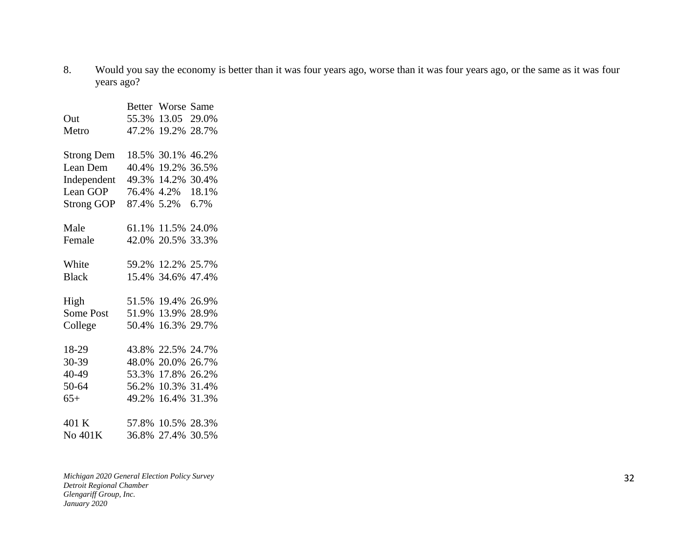8. Would you say the economy is better than it was four years ago, worse than it was four years ago, or the same as it was four years ago?

|                   | <b>Better</b> | Worse             | Same  |
|-------------------|---------------|-------------------|-------|
| Out               | 55.3%         | 13.05             | 29.0% |
| Metro             | 47.2%         | 19.2%             | 28.7% |
|                   |               |                   |       |
| <b>Strong Dem</b> |               | 18.5% 30.1%       | 46.2% |
| Lean Dem          | 40.4% 19.2%   |                   | 36.5% |
| Independent       |               | 49.3% 14.2%       | 30.4% |
| Lean GOP          | 76.4%         | 4.2%              | 18.1% |
| <b>Strong GOP</b> | 87.4%         | 5.2%              | 6.7%  |
| Male              |               | 61.1% 11.5% 24.0% |       |
| Female            |               | 42.0% 20.5%       | 33.3% |
|                   |               |                   |       |
| White             | 59.2%         | 12.2%             | 25.7% |
| <b>Black</b>      |               | 15.4% 34.6%       | 47.4% |
| High              | 51.5%         | 19.4%             | 26.9% |
| Some Post         | 51.9%         | 13.9%             | 28.9% |
| College           | 50.4%         | 16.3%             | 29.7% |
|                   |               |                   |       |
| 18-29             | 43.8%         | 22.5%             | 24.7% |
| 30-39             | 48.0%         | 20.0%             | 26.7% |
| 40-49             | 53.3%         | 17.8%             | 26.2% |
| 50-64             |               | 56.2% 10.3%       | 31.4% |
| $65+$             | 49.2%         | 16.4%             | 31.3% |
| 401 K             | 57.8%         | 10.5%             | 28.3% |
| No 401K           | 36.8%         | 27.4%             | 30.5% |
|                   |               |                   |       |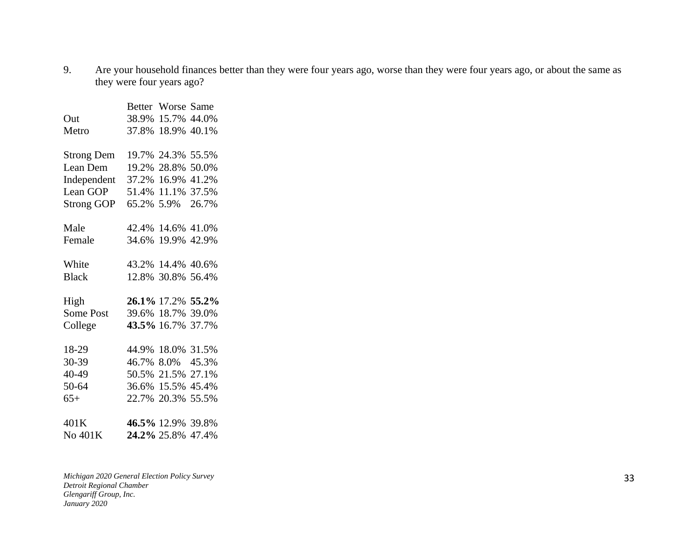9. Are your household finances better than they were four years ago, worse than they were four years ago, or about the same as they were four years ago?

|                   | <b>Better</b> | Worse Same        |       |
|-------------------|---------------|-------------------|-------|
| Out               | 38.9%         | 15.7% 44.0%       |       |
| Metro             | 37.8%         | 18.9% 40.1%       |       |
|                   |               |                   |       |
| <b>Strong Dem</b> | 19.7% 24.3%   |                   | 55.5% |
| Lean Dem          | 19.2%         | 28.8%             | 50.0% |
| Independent       |               | 37.2% 16.9%       | 41.2% |
| Lean GOP          |               | 51.4% 11.1%       | 37.5% |
| <b>Strong GOP</b> | 65.2% 5.9%    |                   | 26.7% |
| Male              |               | 42.4% 14.6% 41.0% |       |
| Female            | 34.6%         | 19.9% 42.9%       |       |
|                   |               |                   |       |
| White             |               | 43.2% 14.4%       | 40.6% |
| <b>Black</b>      |               | 12.8% 30.8% 56.4% |       |
| High              |               | 26.1% 17.2%       | 55.2% |
| Some Post         |               | 39.6% 18.7%       | 39.0% |
| College           |               | 43.5% 16.7%       | 37.7% |
|                   |               |                   |       |
| 18-29             |               | 44.9% 18.0%       | 31.5% |
| 30-39             |               | 46.7% 8.0%        | 45.3% |
| 40-49             | 50.5%         | 21.5%             | 27.1% |
| 50-64             |               | 36.6% 15.5%       | 45.4% |
| $65+$             | 22.7% 20.3%   |                   | 55.5% |
| 401K              |               | 46.5% 12.9%       | 39.8% |
| No 401K           | 24.2% 25.8%   |                   | 47.4% |
|                   |               |                   |       |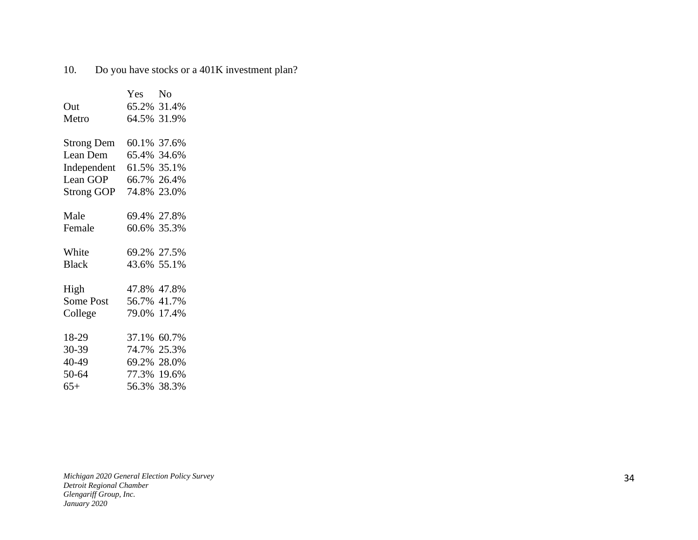## 10. Do you have stocks or a 401K investment plan?

|                   | Yes         | N <sub>0</sub> |
|-------------------|-------------|----------------|
| Out               | 65.2% 31.4% |                |
| Metro             | 64.5% 31.9% |                |
|                   |             |                |
| <b>Strong Dem</b> | 60.1% 37.6% |                |
| Lean Dem          | 65.4% 34.6% |                |
| Independent       | 61.5% 35.1% |                |
| Lean GOP          | 66.7%       | 26.4%          |
| <b>Strong GOP</b> | 74.8%       | 23.0%          |
|                   |             |                |
| Male              | 69.4% 27.8% |                |
| Female            | 60.6% 35.3% |                |
|                   |             |                |
| White             | 69.2% 27.5% |                |
| <b>Black</b>      | 43.6% 55.1% |                |
|                   |             |                |
| High              | 47.8% 47.8% |                |
| Some Post         | 56.7% 41.7% |                |
| College           | 79.0% 17.4% |                |
|                   |             |                |
| 18-29             | 37.1%       | 60.7%          |
| 30-39             | 74.7%       | 25.3%          |
| 40-49             | 69.2% 28.0% |                |
| 50-64             | 77.3% 19.6% |                |
| $65+$             | 56.3% 38.3% |                |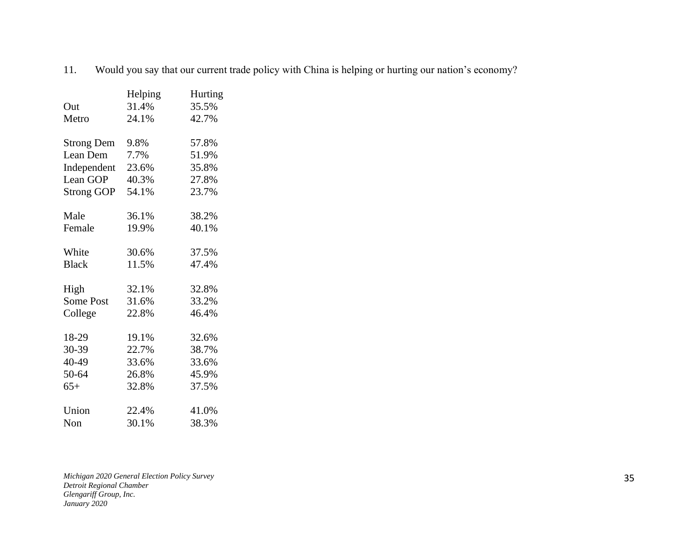11. Would you say that our current trade policy with China is helping or hurting our nation's economy?

|                   | Helping | Hurting |
|-------------------|---------|---------|
| Out               | 31.4%   | 35.5%   |
| Metro             | 24.1%   | 42.7%   |
|                   |         |         |
| <b>Strong Dem</b> | 9.8%    | 57.8%   |
| Lean Dem          | 7.7%    | 51.9%   |
| Independent       | 23.6%   | 35.8%   |
| Lean GOP          | 40.3%   | 27.8%   |
| <b>Strong GOP</b> | 54.1%   | 23.7%   |
|                   |         |         |
| Male              | 36.1%   | 38.2%   |
| Female            | 19.9%   | 40.1%   |
|                   |         |         |
| White             | 30.6%   | 37.5%   |
| <b>Black</b>      | 11.5%   | 47.4%   |
|                   |         |         |
| High              | 32.1%   | 32.8%   |
| <b>Some Post</b>  | 31.6%   | 33.2%   |
| College           | 22.8%   | 46.4%   |
|                   |         |         |
| 18-29             | 19.1%   | 32.6%   |
| 30-39             | 22.7%   | 38.7%   |
| 40-49             | 33.6%   | 33.6%   |
| 50-64             | 26.8%   | 45.9%   |
| $65+$             | 32.8%   | 37.5%   |
|                   |         |         |
| Union             | 22.4%   | 41.0%   |
| Non               | 30.1%   | 38.3%   |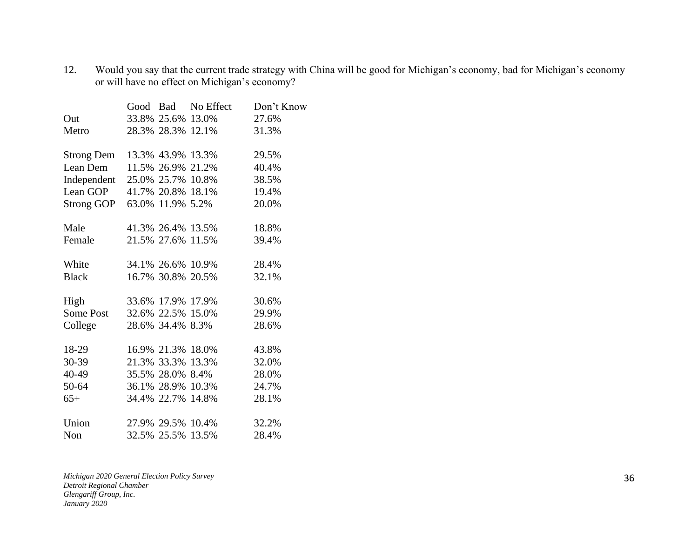12. Would you say that the current trade strategy with China will be good for Michigan's economy, bad for Michigan's economy or will have no effect on Michigan's economy?

|                   |                   | Good Bad No Effect | Don't Know |
|-------------------|-------------------|--------------------|------------|
| Out               | 33.8% 25.6% 13.0% |                    | 27.6%      |
| Metro             |                   | 28.3% 28.3% 12.1%  | 31.3%      |
| <b>Strong Dem</b> | 13.3% 43.9% 13.3% |                    | 29.5%      |
| Lean Dem          | 11.5% 26.9% 21.2% |                    | 40.4%      |
| Independent       |                   | 25.0% 25.7% 10.8%  | 38.5%      |
| Lean GOP          | 41.7% 20.8% 18.1% |                    | 19.4%      |
| Strong GOP        | 63.0% 11.9% 5.2%  |                    | 20.0%      |
| Male              | 41.3% 26.4% 13.5% |                    | 18.8%      |
| Female            | 21.5% 27.6% 11.5% |                    | 39.4%      |
| White             | 34.1% 26.6% 10.9% |                    | 28.4%      |
| <b>Black</b>      | 16.7% 30.8% 20.5% |                    | 32.1%      |
| High              | 33.6% 17.9% 17.9% |                    | 30.6%      |
| Some Post         | 32.6% 22.5% 15.0% |                    | 29.9%      |
| College           | 28.6% 34.4% 8.3%  |                    | 28.6%      |
| 18-29             | 16.9% 21.3% 18.0% |                    | 43.8%      |
| $30-39$           | 21.3% 33.3% 13.3% |                    | 32.0%      |
| 40-49             | 35.5% 28.0% 8.4%  |                    | 28.0%      |
| 50-64             |                   | 36.1% 28.9% 10.3%  | 24.7%      |
| $65+$             | 34.4% 22.7% 14.8% |                    | 28.1%      |
| Union             | 27.9% 29.5% 10.4% |                    | 32.2%      |
| Non               | 32.5% 25.5% 13.5% |                    | 28.4%      |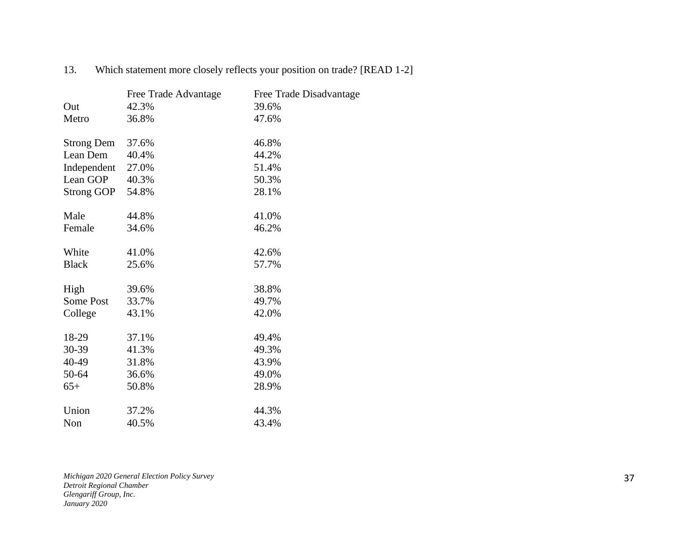|                   | Free Trade Advantage | Free Trade Disadvantage |
|-------------------|----------------------|-------------------------|
| Out               | 42.3%                | 39.6%                   |
| Metro             | 36.8%                | 47.6%                   |
|                   |                      |                         |
| <b>Strong Dem</b> | 37.6%                | 46.8%                   |
| Lean Dem          | 40.4%                | 44.2%                   |
| Independent       | 27.0%                | 51.4%                   |
| Lean GOP          | 40.3%                | 50.3%                   |
| <b>Strong GOP</b> | 54.8%                | 28.1%                   |
|                   |                      |                         |
| Male              | 44.8%                | 41.0%                   |
| Female            | 34.6%                | 46.2%                   |
|                   |                      |                         |
| White             | 41.0%                | 42.6%                   |
| <b>Black</b>      | 25.6%                | 57.7%                   |
|                   |                      |                         |
| High              | 39.6%                | 38.8%                   |
| Some Post         | 33.7%                | 49.7%                   |
| College           | 43.1%                | 42.0%                   |
|                   |                      |                         |
| 18-29             | 37.1%                | 49.4%                   |
| 30-39             | 41.3%                | 49.3%                   |
| 40-49             | 31.8%                | 43.9%                   |
| 50-64             | 36.6%                | 49.0%                   |
| $65+$             | 50.8%                | 28.9%                   |
|                   |                      |                         |
| Union             | 37.2%                | 44.3%                   |
| Non               | 40.5%                | 43.4%                   |

13. Which statement more closely reflects your position on trade? [READ 1-2]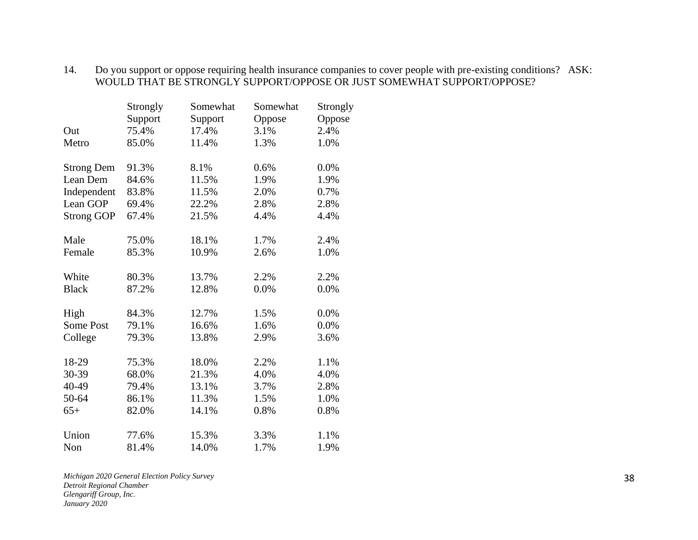#### 14. Do you support or oppose requiring health insurance companies to cover people with pre-existing conditions? ASK: WOULD THAT BE STRONGLY SUPPORT/OPPOSE OR JUST SOMEWHAT SUPPORT/OPPOSE?

|                   | Strongly | Somewhat | Somewhat | Strongly |
|-------------------|----------|----------|----------|----------|
|                   | Support  | Support  | Oppose   | Oppose   |
| Out               | 75.4%    | 17.4%    | 3.1%     | 2.4%     |
| Metro             | 85.0%    | 11.4%    | 1.3%     | 1.0%     |
| <b>Strong Dem</b> | 91.3%    | 8.1%     | 0.6%     | 0.0%     |
| Lean Dem          | 84.6%    | 11.5%    | 1.9%     | 1.9%     |
| Independent       | 83.8%    | 11.5%    | 2.0%     | 0.7%     |
| Lean GOP          | 69.4%    | 22.2%    | 2.8%     | 2.8%     |
| <b>Strong GOP</b> | 67.4%    | 21.5%    | 4.4%     | 4.4%     |
| Male              | 75.0%    | 18.1%    | 1.7%     | 2.4%     |
| Female            | 85.3%    | 10.9%    | 2.6%     | 1.0%     |
| White             | 80.3%    | 13.7%    | 2.2%     | 2.2%     |
| <b>Black</b>      | 87.2%    | 12.8%    | 0.0%     | 0.0%     |
| High              | 84.3%    | 12.7%    | 1.5%     | 0.0%     |
| <b>Some Post</b>  | 79.1%    | 16.6%    | 1.6%     | 0.0%     |
| College           | 79.3%    | 13.8%    | 2.9%     | 3.6%     |
| 18-29             | 75.3%    | 18.0%    | 2.2%     | 1.1%     |
| 30-39             | 68.0%    | 21.3%    | 4.0%     | 4.0%     |
| 40-49             | 79.4%    | 13.1%    | 3.7%     | 2.8%     |
| 50-64             | 86.1%    | 11.3%    | 1.5%     | 1.0%     |
| $65+$             | 82.0%    | 14.1%    | 0.8%     | 0.8%     |
| Union             | 77.6%    | 15.3%    | 3.3%     | 1.1%     |
| Non               | 81.4%    | 14.0%    | 1.7%     | 1.9%     |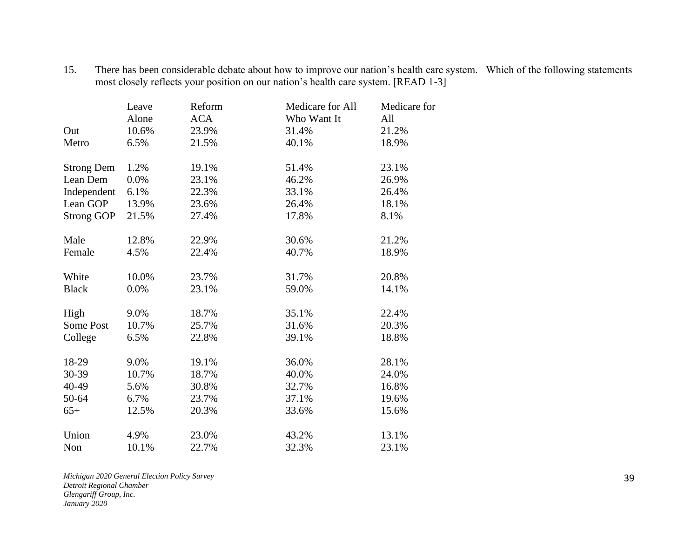| There has been considerable debate about how to improve our nation's health care system. Which of the following statements |  |
|----------------------------------------------------------------------------------------------------------------------------|--|
| most closely reflects your position on our nation's health care system. [READ 1-3]                                         |  |

|                   | Leave | Reform     | Medicare for All | Medicare for |
|-------------------|-------|------------|------------------|--------------|
|                   | Alone | <b>ACA</b> | Who Want It      | All          |
| Out               | 10.6% | 23.9%      | 31.4%            | 21.2%        |
| Metro             | 6.5%  | 21.5%      | 40.1%            | 18.9%        |
| <b>Strong Dem</b> | 1.2%  | 19.1%      | 51.4%            | 23.1%        |
| Lean Dem          | 0.0%  | 23.1%      | 46.2%            | 26.9%        |
| Independent       | 6.1%  | 22.3%      | 33.1%            | 26.4%        |
| Lean GOP          | 13.9% | 23.6%      | 26.4%            | 18.1%        |
| <b>Strong GOP</b> | 21.5% | 27.4%      | 17.8%            | 8.1%         |
| Male              | 12.8% | 22.9%      | 30.6%            | 21.2%        |
| Female            | 4.5%  | 22.4%      | 40.7%            | 18.9%        |
| White             | 10.0% | 23.7%      | 31.7%            | 20.8%        |
| <b>Black</b>      | 0.0%  | 23.1%      | 59.0%            | 14.1%        |
| High              | 9.0%  | 18.7%      | 35.1%            | 22.4%        |
| Some Post         | 10.7% | 25.7%      | 31.6%            | 20.3%        |
| College           | 6.5%  | 22.8%      | 39.1%            | 18.8%        |
| 18-29             | 9.0%  | 19.1%      | 36.0%            | 28.1%        |
| 30-39             | 10.7% | 18.7%      | 40.0%            | 24.0%        |
| 40-49             | 5.6%  | 30.8%      | 32.7%            | 16.8%        |
| 50-64             | 6.7%  | 23.7%      | 37.1%            | 19.6%        |
| $65+$             | 12.5% | 20.3%      | 33.6%            | 15.6%        |
| Union             | 4.9%  | 23.0%      | 43.2%            | 13.1%        |
| Non               | 10.1% | 22.7%      | 32.3%            | 23.1%        |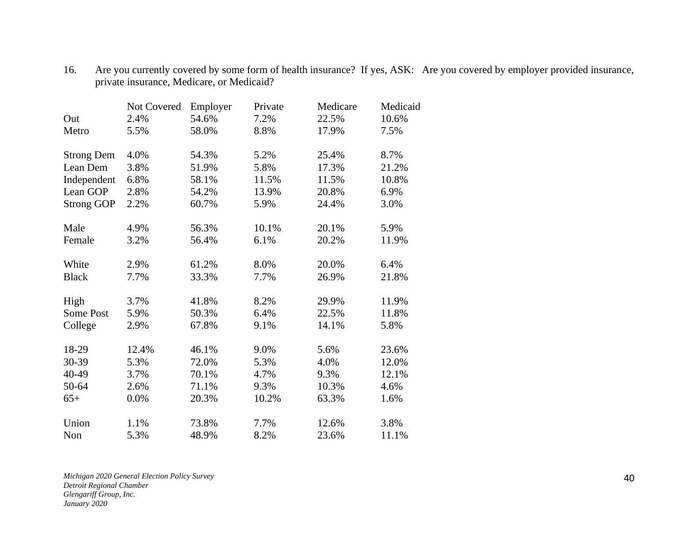|                   | Not Covered | Employer | Private | Medicare | Medicaid |
|-------------------|-------------|----------|---------|----------|----------|
| Out               | 2.4%        | 54.6%    | 7.2%    | 22.5%    | 10.6%    |
| Metro             | 5.5%        | 58.0%    | 8.8%    | 17.9%    | 7.5%     |
| <b>Strong Dem</b> | 4.0%        | 54.3%    | 5.2%    | 25.4%    | 8.7%     |
| Lean Dem          | 3.8%        | 51.9%    | 5.8%    | 17.3%    | 21.2%    |
| Independent       | 6.8%        | 58.1%    | 11.5%   | 11.5%    | 10.8%    |
| Lean GOP          | 2.8%        | 54.2%    | 13.9%   | 20.8%    | 6.9%     |
| <b>Strong GOP</b> | 2.2%        | 60.7%    | 5.9%    | 24.4%    | 3.0%     |
| Male              | 4.9%        | 56.3%    | 10.1%   | 20.1%    | 5.9%     |
| Female            | 3.2%        | 56.4%    | 6.1%    | 20.2%    | 11.9%    |
| White             | 2.9%        | 61.2%    | 8.0%    | 20.0%    | 6.4%     |
| <b>Black</b>      | 7.7%        | 33.3%    | 7.7%    | 26.9%    | 21.8%    |
| High              | 3.7%        | 41.8%    | 8.2%    | 29.9%    | 11.9%    |
| <b>Some Post</b>  | 5.9%        | 50.3%    | 6.4%    | 22.5%    | 11.8%    |
| College           | 2.9%        | 67.8%    | 9.1%    | 14.1%    | 5.8%     |
| 18-29             | 12.4%       | 46.1%    | 9.0%    | 5.6%     | 23.6%    |
| 30-39             | 5.3%        | 72.0%    | 5.3%    | 4.0%     | 12.0%    |
| 40-49             | 3.7%        | 70.1%    | 4.7%    | 9.3%     | 12.1%    |
| 50-64             | 2.6%        | 71.1%    | 9.3%    | 10.3%    | 4.6%     |
| $65+$             | 0.0%        | 20.3%    | 10.2%   | 63.3%    | 1.6%     |
| Union             | 1.1%        | 73.8%    | 7.7%    | 12.6%    | 3.8%     |
| Non               | 5.3%        | 48.9%    | 8.2%    | 23.6%    | 11.1%    |

16. Are you currently covered by some form of health insurance? If yes, ASK: Are you covered by employer provided insurance, private insurance, Medicare, or Medicaid?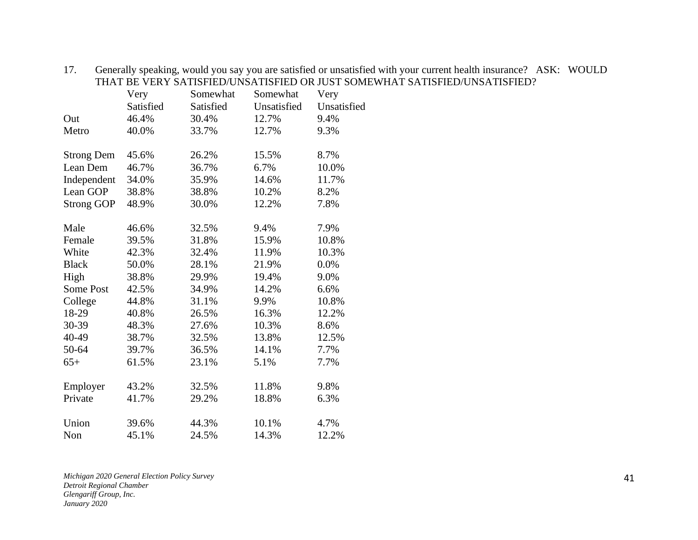|                   | Very      | Somewhat  | Somewhat    | Very        |
|-------------------|-----------|-----------|-------------|-------------|
|                   | Satisfied | Satisfied | Unsatisfied | Unsatisfied |
| Out               | 46.4%     | 30.4%     | 12.7%       | 9.4%        |
| Metro             | 40.0%     | 33.7%     | 12.7%       | 9.3%        |
| <b>Strong Dem</b> | 45.6%     | 26.2%     | 15.5%       | 8.7%        |
| Lean Dem          | 46.7%     | 36.7%     | 6.7%        | 10.0%       |
| Independent       | 34.0%     | 35.9%     | 14.6%       | 11.7%       |
| Lean GOP          | 38.8%     | 38.8%     | 10.2%       | 8.2%        |
| <b>Strong GOP</b> | 48.9%     | 30.0%     | 12.2%       | 7.8%        |
| Male              | 46.6%     | 32.5%     | 9.4%        | 7.9%        |
| Female            | 39.5%     | 31.8%     | 15.9%       | 10.8%       |
| White             | 42.3%     | 32.4%     | 11.9%       | 10.3%       |
| <b>Black</b>      | 50.0%     | 28.1%     | 21.9%       | 0.0%        |
| High              | 38.8%     | 29.9%     | 19.4%       | 9.0%        |
| Some Post         | 42.5%     | 34.9%     | 14.2%       | 6.6%        |
| College           | 44.8%     | 31.1%     | 9.9%        | 10.8%       |
| 18-29             | 40.8%     | 26.5%     | 16.3%       | 12.2%       |
| 30-39             | 48.3%     | 27.6%     | 10.3%       | 8.6%        |
| 40-49             | 38.7%     | 32.5%     | 13.8%       | 12.5%       |
| 50-64             | 39.7%     | 36.5%     | 14.1%       | 7.7%        |
| $65+$             | 61.5%     | 23.1%     | 5.1%        | 7.7%        |
| Employer          | 43.2%     | 32.5%     | 11.8%       | 9.8%        |
| Private           | 41.7%     | 29.2%     | 18.8%       | 6.3%        |
| Union             | 39.6%     | 44.3%     | 10.1%       | 4.7%        |
| Non               | 45.1%     | 24.5%     | 14.3%       | 12.2%       |

17. Generally speaking, would you say you are satisfied or unsatisfied with your current health insurance? ASK: WOULD THAT BE VERY SATISFIED/UNSATISFIED OR JUST SOMEWHAT SATISFIED/UNSATISFIED?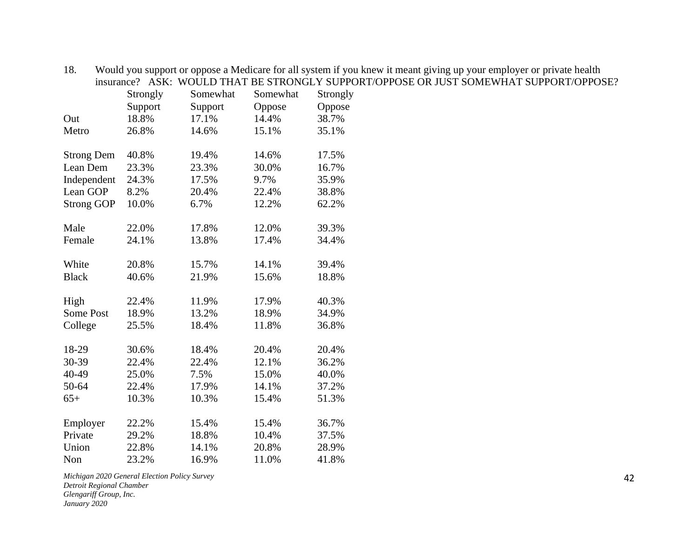| insurance?        | ASK:     | WOULD THAT BE STRONGLY SUPPO |          |          |
|-------------------|----------|------------------------------|----------|----------|
|                   | Strongly | Somewhat                     | Somewhat | Strongly |
|                   | Support  | Support                      | Oppose   | Oppose   |
| Out               | 18.8%    | 17.1%                        | 14.4%    | 38.7%    |
| Metro             | 26.8%    | 14.6%                        | 15.1%    | 35.1%    |
|                   |          |                              |          |          |
| <b>Strong Dem</b> | 40.8%    | 19.4%                        | 14.6%    | 17.5%    |
| Lean Dem          | 23.3%    | 23.3%                        | 30.0%    | 16.7%    |
| Independent       | 24.3%    | 17.5%                        | 9.7%     | 35.9%    |
| Lean GOP          | 8.2%     | 20.4%                        | 22.4%    | 38.8%    |
| <b>Strong GOP</b> | 10.0%    | 6.7%                         | 12.2%    | 62.2%    |
| Male              | 22.0%    | 17.8%                        | 12.0%    | 39.3%    |
| Female            |          | 13.8%                        | 17.4%    | 34.4%    |
|                   | 24.1%    |                              |          |          |
| White             | 20.8%    | 15.7%                        | 14.1%    | 39.4%    |
| <b>Black</b>      | 40.6%    | 21.9%                        | 15.6%    | 18.8%    |
| High              | 22.4%    | 11.9%                        | 17.9%    | 40.3%    |
| Some Post         | 18.9%    | 13.2%                        | 18.9%    | 34.9%    |
| College           | 25.5%    | 18.4%                        | 11.8%    | 36.8%    |
|                   |          |                              |          |          |
| 18-29             | 30.6%    | 18.4%                        | 20.4%    | 20.4%    |
| 30-39             | 22.4%    | 22.4%                        | 12.1%    | 36.2%    |
| 40-49             | 25.0%    | 7.5%                         | 15.0%    | 40.0%    |
| 50-64             | 22.4%    | 17.9%                        | 14.1%    | 37.2%    |
| $65+$             | 10.3%    | 10.3%                        | 15.4%    | 51.3%    |
|                   |          |                              |          |          |
| Employer          | 22.2%    | 15.4%                        | 15.4%    | 36.7%    |
| Private           | 29.2%    | 18.8%                        | 10.4%    | 37.5%    |
| Union             | 22.8%    | 14.1%                        | 20.8%    | 28.9%    |
| Non               | 23.2%    | 16.9%                        | 11.0%    | 41.8%    |

18. Would you support or oppose a Medicare for all system if you knew it meant giving up your employer or private health insurance? ASK: WOULD THAT BE STRONGLY SUPPORT/OPPOSE OR JUST SOMEWHAT SUPPORT/OPPOSE?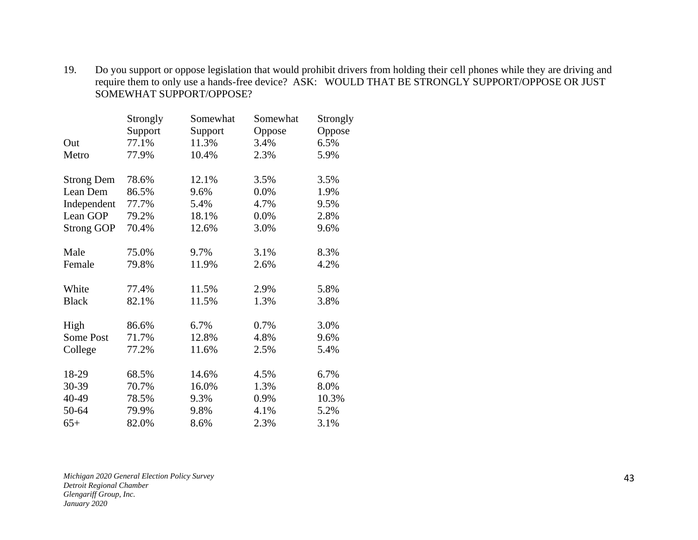19. Do you support or oppose legislation that would prohibit drivers from holding their cell phones while they are driving and require them to only use a hands-free device? ASK: WOULD THAT BE STRONGLY SUPPORT/OPPOSE OR JUST SOMEWHAT SUPPORT/OPPOSE?

|                   | Strongly | Somewhat | Somewhat | Strongly |
|-------------------|----------|----------|----------|----------|
|                   | Support  | Support  | Oppose   | Oppose   |
| Out               | 77.1%    | 11.3%    | 3.4%     | 6.5%     |
| Metro             | 77.9%    | 10.4%    | 2.3%     | 5.9%     |
| <b>Strong Dem</b> | 78.6%    | 12.1%    | 3.5%     | 3.5%     |
| Lean Dem          | 86.5%    | 9.6%     | 0.0%     | 1.9%     |
| Independent       | 77.7%    | 5.4%     | 4.7%     | 9.5%     |
| Lean GOP          | 79.2%    | 18.1%    | 0.0%     | 2.8%     |
| <b>Strong GOP</b> | 70.4%    | 12.6%    | 3.0%     | 9.6%     |
| Male              | 75.0%    | 9.7%     | 3.1%     | 8.3%     |
| Female            | 79.8%    | 11.9%    | 2.6%     | 4.2%     |
| White             | 77.4%    | 11.5%    | 2.9%     | 5.8%     |
| <b>Black</b>      | 82.1%    | 11.5%    | 1.3%     | 3.8%     |
| High              | 86.6%    | 6.7%     | 0.7%     | 3.0%     |
| Some Post         | 71.7%    | 12.8%    | 4.8%     | 9.6%     |
| College           | 77.2%    | 11.6%    | 2.5%     | 5.4%     |
| 18-29             | 68.5%    | 14.6%    | 4.5%     | 6.7%     |
| 30-39             | 70.7%    | 16.0%    | 1.3%     | 8.0%     |
| 40-49             | 78.5%    | 9.3%     | 0.9%     | 10.3%    |
| 50-64             | 79.9%    | 9.8%     | 4.1%     | 5.2%     |
| $65+$             | 82.0%    | 8.6%     | 2.3%     | 3.1%     |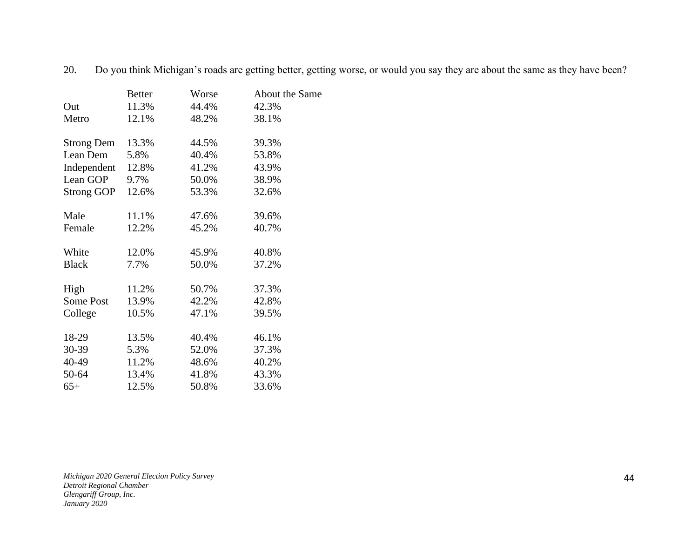|                   | <b>Better</b> | Worse | About the Same |
|-------------------|---------------|-------|----------------|
| Out               | 11.3%         | 44.4% | 42.3%          |
| Metro             | 12.1%         | 48.2% | 38.1%          |
| <b>Strong Dem</b> | 13.3%         | 44.5% | 39.3%          |
| Lean Dem          | 5.8%          | 40.4% | 53.8%          |
| Independent       | 12.8%         | 41.2% | 43.9%          |
| Lean GOP          | 9.7%          | 50.0% | 38.9%          |
| <b>Strong GOP</b> | 12.6%         | 53.3% | 32.6%          |
| Male              | 11.1%         | 47.6% | 39.6%          |
| Female            | 12.2%         | 45.2% | 40.7%          |
| White             | 12.0%         | 45.9% | 40.8%          |
| <b>Black</b>      | 7.7%          | 50.0% | 37.2%          |
|                   |               |       |                |
| High              | 11.2%         | 50.7% | 37.3%          |
| Some Post         | 13.9%         | 42.2% | 42.8%          |
| College           | 10.5%         | 47.1% | 39.5%          |
| 18-29             | 13.5%         | 40.4% | 46.1%          |
| 30-39             | 5.3%          | 52.0% | 37.3%          |
| 40-49             | 11.2%         | 48.6% | 40.2%          |
| 50-64             | 13.4%         | 41.8% | 43.3%          |
| $65+$             | 12.5%         | 50.8% | 33.6%          |

20. Do you think Michigan's roads are getting better, getting worse, or would you say they are about the same as they have been?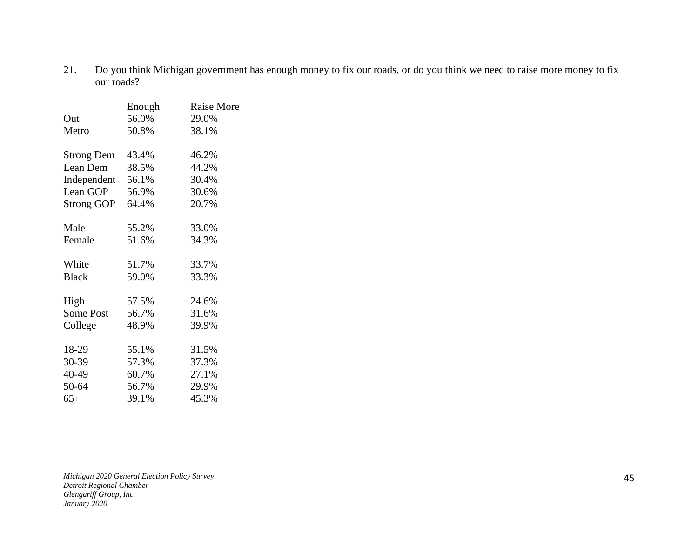21. Do you think Michigan government has enough money to fix our roads, or do you think we need to raise more money to fix our roads?

|                   | Enough | <b>Raise More</b> |
|-------------------|--------|-------------------|
| Out               | 56.0%  | 29.0%             |
| Metro             | 50.8%  | 38.1%             |
|                   |        |                   |
| <b>Strong Dem</b> | 43.4%  | 46.2%             |
| Lean Dem          | 38.5%  | 44.2%             |
| Independent       | 56.1%  | 30.4%             |
| Lean GOP          | 56.9%  | 30.6%             |
| <b>Strong GOP</b> | 64.4%  | 20.7%             |
|                   |        |                   |
| Male              | 55.2%  | 33.0%             |
| Female            | 51.6%  | 34.3%             |
|                   |        |                   |
| White             | 51.7%  | 33.7%             |
| <b>Black</b>      | 59.0%  | 33.3%             |
|                   |        |                   |
| High              | 57.5%  | 24.6%             |
| <b>Some Post</b>  | 56.7%  | 31.6%             |
| College           | 48.9%  | 39.9%             |
|                   |        |                   |
| 18-29             | 55.1%  | 31.5%             |
| 30-39             | 57.3%  | 37.3%             |
| 40-49             | 60.7%  | 27.1%             |
| 50-64             | 56.7%  | 29.9%             |
| $65+$             | 39.1%  | 45.3%             |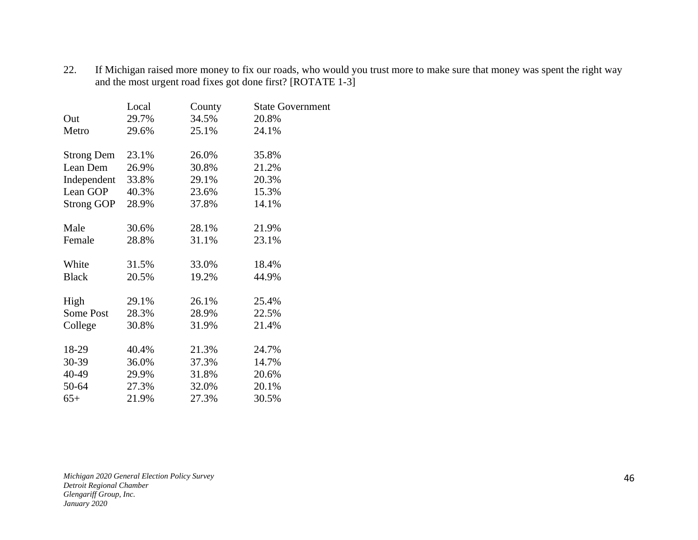22. If Michigan raised more money to fix our roads, who would you trust more to make sure that money was spent the right way and the most urgent road fixes got done first? [ROTATE 1-3]

|                   | Local | County | <b>State Government</b> |
|-------------------|-------|--------|-------------------------|
| Out               | 29.7% | 34.5%  | 20.8%                   |
| Metro             | 29.6% | 25.1%  | 24.1%                   |
| <b>Strong Dem</b> | 23.1% | 26.0%  | 35.8%                   |
| Lean Dem          | 26.9% | 30.8%  | 21.2%                   |
| Independent       | 33.8% | 29.1%  | 20.3%                   |
| Lean GOP          | 40.3% | 23.6%  | 15.3%                   |
| <b>Strong GOP</b> | 28.9% | 37.8%  | 14.1%                   |
|                   |       |        |                         |
| Male              | 30.6% | 28.1%  | 21.9%                   |
| Female            | 28.8% | 31.1%  | 23.1%                   |
| White             | 31.5% | 33.0%  | 18.4%                   |
| <b>Black</b>      | 20.5% | 19.2%  | 44.9%                   |
|                   |       |        |                         |
| High              | 29.1% | 26.1%  | 25.4%                   |
| Some Post         | 28.3% | 28.9%  | 22.5%                   |
| College           | 30.8% | 31.9%  | 21.4%                   |
| 18-29             | 40.4% | 21.3%  | 24.7%                   |
| 30-39             | 36.0% | 37.3%  | 14.7%                   |
| 40-49             | 29.9% | 31.8%  | 20.6%                   |
| 50-64             | 27.3% | 32.0%  | 20.1%                   |
| $65+$             | 21.9% | 27.3%  | 30.5%                   |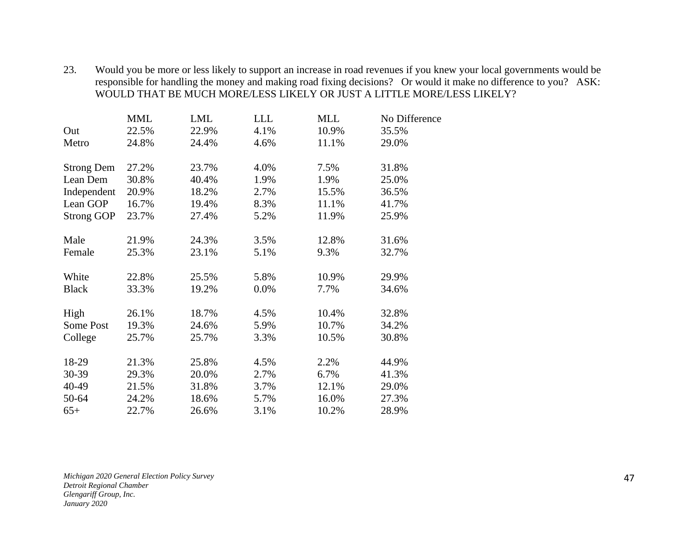23. Would you be more or less likely to support an increase in road revenues if you knew your local governments would be responsible for handling the money and making road fixing decisions? Or would it make no difference to you? ASK: WOULD THAT BE MUCH MORE/LESS LIKELY OR JUST A LITTLE MORE/LESS LIKELY?

|                   | <b>MML</b> | <b>LML</b> | <b>LLL</b> | <b>MLL</b> | No Difference |
|-------------------|------------|------------|------------|------------|---------------|
| Out               | 22.5%      | 22.9%      | 4.1%       | 10.9%      | 35.5%         |
| Metro             | 24.8%      | 24.4%      | 4.6%       | 11.1%      | 29.0%         |
| <b>Strong Dem</b> | 27.2%      | 23.7%      | 4.0%       | 7.5%       | 31.8%         |
| Lean Dem          | 30.8%      | 40.4%      | 1.9%       | 1.9%       | 25.0%         |
| Independent       | 20.9%      | 18.2%      | 2.7%       | 15.5%      | 36.5%         |
| Lean GOP          | 16.7%      | 19.4%      | 8.3%       | 11.1%      | 41.7%         |
| <b>Strong GOP</b> | 23.7%      | 27.4%      | 5.2%       | 11.9%      | 25.9%         |
|                   |            |            |            |            |               |
| Male              | 21.9%      | 24.3%      | 3.5%       | 12.8%      | 31.6%         |
| Female            | 25.3%      | 23.1%      | 5.1%       | 9.3%       | 32.7%         |
| White             | 22.8%      | 25.5%      | 5.8%       | 10.9%      | 29.9%         |
| <b>Black</b>      | 33.3%      | 19.2%      | 0.0%       | 7.7%       | 34.6%         |
|                   |            |            |            | 10.4%      | 32.8%         |
| High              | 26.1%      | 18.7%      | 4.5%       |            |               |
| Some Post         | 19.3%      | 24.6%      | 5.9%       | 10.7%      | 34.2%         |
| College           | 25.7%      | 25.7%      | 3.3%       | 10.5%      | 30.8%         |
| 18-29             | 21.3%      | 25.8%      | 4.5%       | 2.2%       | 44.9%         |
| 30-39             | 29.3%      | 20.0%      | 2.7%       | 6.7%       | 41.3%         |
| 40-49             | 21.5%      | 31.8%      | 3.7%       | 12.1%      | 29.0%         |
| 50-64             | 24.2%      | 18.6%      | 5.7%       | 16.0%      | 27.3%         |
| $65+$             | 22.7%      | 26.6%      | 3.1%       | 10.2%      | 28.9%         |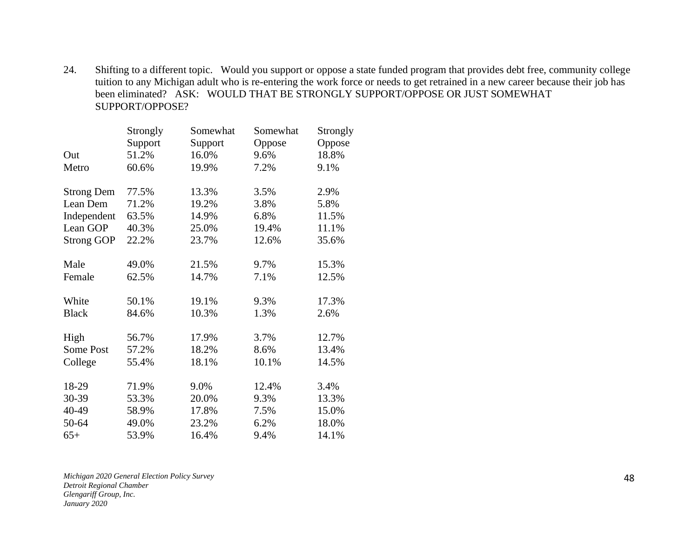24. Shifting to a different topic. Would you support or oppose a state funded program that provides debt free, community college tuition to any Michigan adult who is re-entering the work force or needs to get retrained in a new career because their job has been eliminated? ASK: WOULD THAT BE STRONGLY SUPPORT/OPPOSE OR JUST SOMEWHAT SUPPORT/OPPOSE?

|                   | Strongly | Somewhat | Somewhat | Strongly |
|-------------------|----------|----------|----------|----------|
|                   | Support  | Support  | Oppose   | Oppose   |
| Out               | 51.2%    | 16.0%    | 9.6%     | 18.8%    |
| Metro             | 60.6%    | 19.9%    | 7.2%     | 9.1%     |
| <b>Strong Dem</b> | 77.5%    | 13.3%    | 3.5%     | 2.9%     |
| Lean Dem          | 71.2%    | 19.2%    | 3.8%     | 5.8%     |
| Independent       | 63.5%    | 14.9%    | 6.8%     | 11.5%    |
| Lean GOP          | 40.3%    | 25.0%    | 19.4%    | 11.1%    |
| <b>Strong GOP</b> | 22.2%    | 23.7%    | 12.6%    | 35.6%    |
| Male              | 49.0%    | 21.5%    | 9.7%     | 15.3%    |
| Female            | 62.5%    | 14.7%    | 7.1%     | 12.5%    |
| White             | 50.1%    | 19.1%    | 9.3%     | 17.3%    |
| <b>Black</b>      | 84.6%    | 10.3%    | 1.3%     | 2.6%     |
| High              | 56.7%    | 17.9%    | 3.7%     | 12.7%    |
| Some Post         | 57.2%    | 18.2%    | 8.6%     | 13.4%    |
| College           | 55.4%    | 18.1%    | 10.1%    | 14.5%    |
| 18-29             | 71.9%    | 9.0%     | 12.4%    | 3.4%     |
| 30-39             | 53.3%    | 20.0%    | 9.3%     | 13.3%    |
| 40-49             | 58.9%    | 17.8%    | 7.5%     | 15.0%    |
| 50-64             | 49.0%    | 23.2%    | 6.2%     | 18.0%    |
| $65+$             | 53.9%    | 16.4%    | 9.4%     | 14.1%    |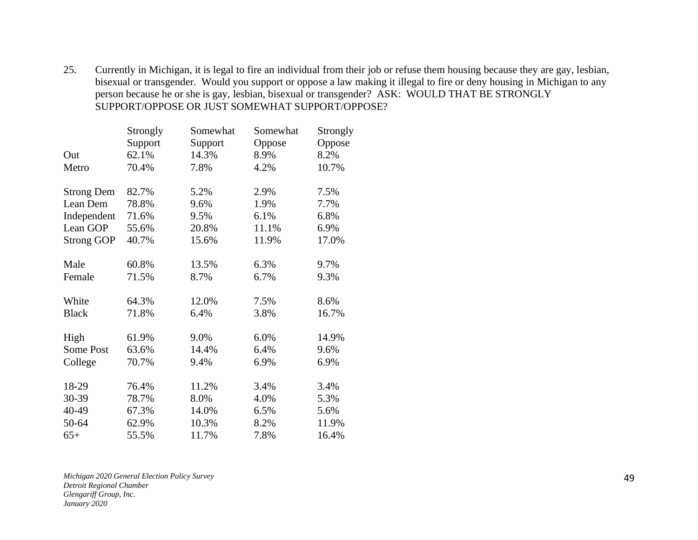25. Currently in Michigan, it is legal to fire an individual from their job or refuse them housing because they are gay, lesbian, bisexual or transgender. Would you support or oppose a law making it illegal to fire or deny housing in Michigan to any person because he or she is gay, lesbian, bisexual or transgender? ASK: WOULD THAT BE STRONGLY SUPPORT/OPPOSE OR JUST SOMEWHAT SUPPORT/OPPOSE?

|                   | Strongly | Somewhat | Somewhat | Strongly |
|-------------------|----------|----------|----------|----------|
|                   | Support  | Support  | Oppose   | Oppose   |
| Out               | 62.1%    | 14.3%    | 8.9%     | 8.2%     |
| Metro             | 70.4%    | 7.8%     | 4.2%     | 10.7%    |
| <b>Strong Dem</b> | 82.7%    | 5.2%     | 2.9%     | 7.5%     |
| Lean Dem          | 78.8%    | 9.6%     | 1.9%     | 7.7%     |
| Independent       | 71.6%    | 9.5%     | 6.1%     | 6.8%     |
| Lean GOP          | 55.6%    | 20.8%    | 11.1%    | 6.9%     |
| <b>Strong GOP</b> | 40.7%    | 15.6%    | 11.9%    | 17.0%    |
| Male              | 60.8%    | 13.5%    | 6.3%     | 9.7%     |
| Female            | 71.5%    | 8.7%     | 6.7%     | 9.3%     |
| White             | 64.3%    | 12.0%    | 7.5%     | 8.6%     |
| <b>Black</b>      | 71.8%    | 6.4%     | 3.8%     | 16.7%    |
| High              | 61.9%    | 9.0%     | 6.0%     | 14.9%    |
| Some Post         | 63.6%    | 14.4%    | 6.4%     | 9.6%     |
| College           | 70.7%    | 9.4%     | 6.9%     | 6.9%     |
| 18-29             | 76.4%    | 11.2%    | 3.4%     | 3.4%     |
| 30-39             | 78.7%    | 8.0%     | 4.0%     | 5.3%     |
| 40-49             | 67.3%    | 14.0%    | 6.5%     | 5.6%     |
| 50-64             | 62.9%    | 10.3%    | 8.2%     | 11.9%    |
| $65+$             | 55.5%    | 11.7%    | 7.8%     | 16.4%    |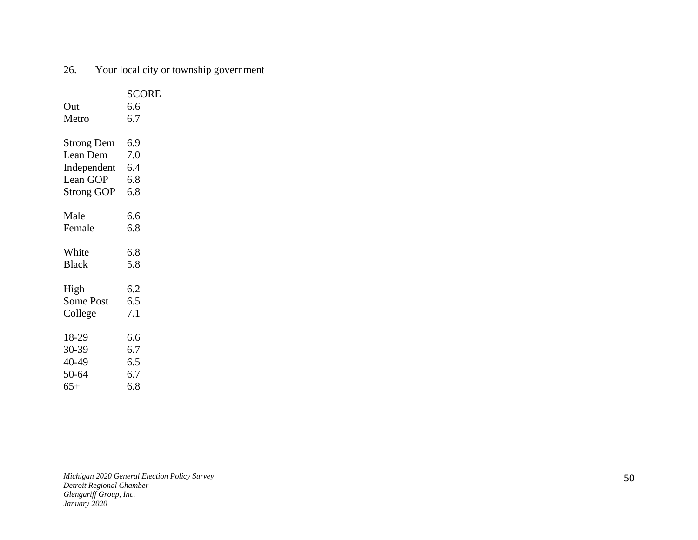## 26. Your local city or township government

|                   | <b>SCORE</b> |
|-------------------|--------------|
| Out               | 6.6          |
| Metro             | 6.7          |
|                   |              |
| <b>Strong Dem</b> | 6.9          |
| Lean Dem          | 7.0          |
| Independent       | 6.4          |
| Lean GOP          | 6.8          |
| <b>Strong GOP</b> | 6.8          |
|                   |              |
| Male              | 6.6          |
| Female            | 6.8          |
|                   |              |
| White             | 6.8          |
| <b>Black</b>      | 5.8          |
| High              | 6.2          |
| <b>Some Post</b>  | 6.5          |
| College           | 7.1          |
|                   |              |
| 18-29             | 6.6          |
| 30-39             | 6.7          |
| 40-49             | 6.5          |
| 50-64             | 6.7          |
| $65+$             | 6.8          |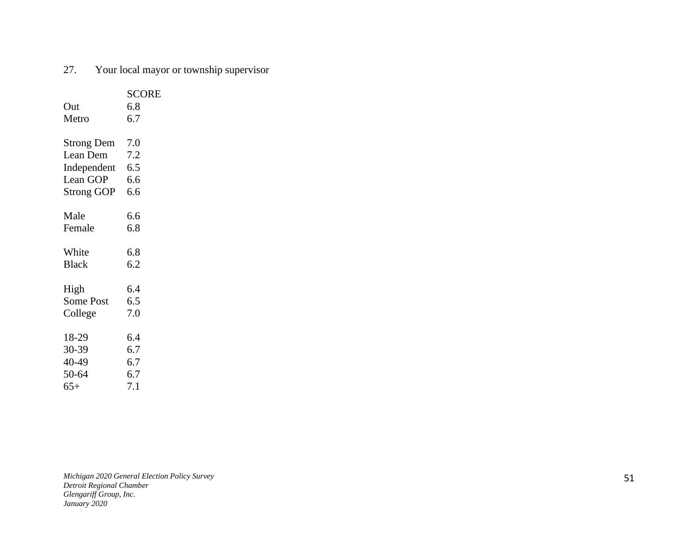## 27. Your local mayor or township supervisor

|                   | <b>SCORE</b> |
|-------------------|--------------|
| Out               | 6.8          |
| Metro             | 6.7          |
|                   |              |
| <b>Strong Dem</b> | 7.0          |
| Lean Dem          | 7.2          |
| Independent       | 6.5          |
| Lean GOP          | 6.6          |
| <b>Strong GOP</b> | 6.6          |
|                   |              |
| Male              | 6.6          |
| Female            | 6.8          |
|                   |              |
| White             | 6.8          |
| <b>Black</b>      | 6.2          |
|                   |              |
| High              | 6.4          |
| <b>Some Post</b>  | 6.5          |
| College           | 7.0          |
|                   |              |
| 18-29             | 6.4          |
| 30-39             | 6.7          |
| 40-49             | 6.7          |
| 50-64             | 6.7          |
| $65+$             | 7.1          |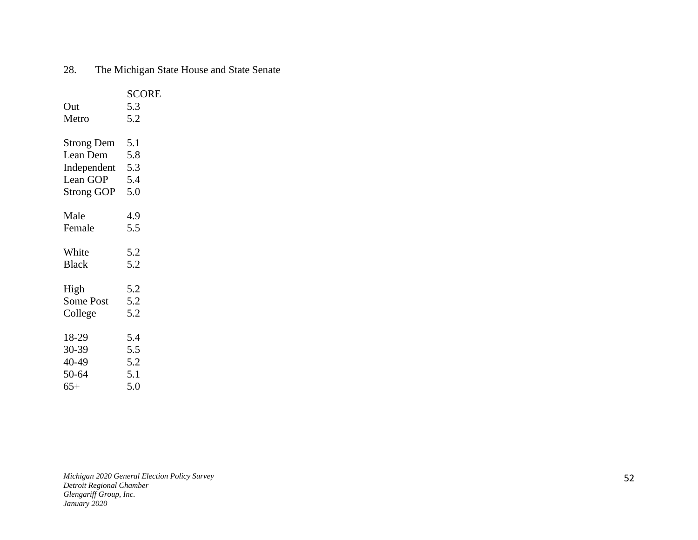|  | 28. | The Michigan State House and State Senate |  |  |  |  |  |
|--|-----|-------------------------------------------|--|--|--|--|--|
|--|-----|-------------------------------------------|--|--|--|--|--|

|                   | <b>SCORE</b> |
|-------------------|--------------|
| Out               | 5.3          |
| Metro             | 5.2          |
|                   |              |
| <b>Strong Dem</b> | 5.1          |
| Lean Dem          | 5.8          |
| Independent 5.3   |              |
| Lean GOP          | 5.4          |
| Strong GOP        | 5.0          |
|                   |              |
| Male              | 4.9          |
| Female            | 5.5          |
|                   |              |
| White             | 5.2          |
| <b>Black</b>      | 5.2          |
|                   |              |
| High              | 5.2          |
| <b>Some Post</b>  | 5.2          |
| College           | 5.2          |
|                   |              |
| 18-29             | 5.4          |
| 30-39             | 5.5          |
| 40-49             | 5.2          |
| 50-64             | 5.1          |
| $65+$             | 5.0          |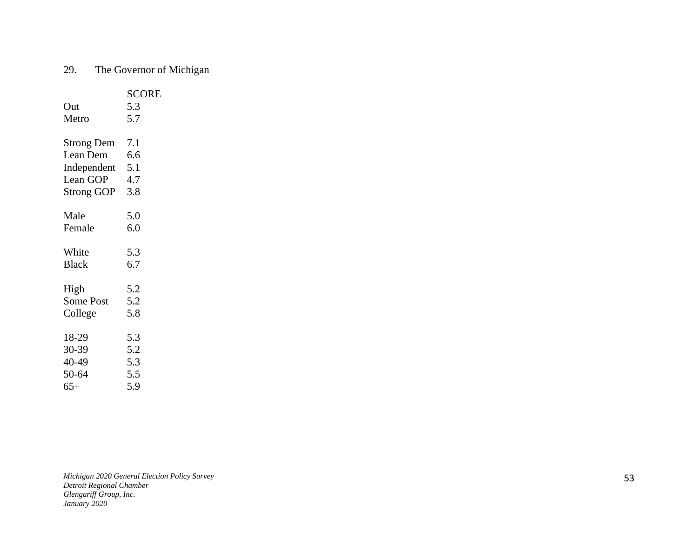# 29. The Governor of Michigan

|                   | <b>SCORE</b> |
|-------------------|--------------|
| Out               | 5.3          |
| Metro             | 5.7          |
|                   |              |
| <b>Strong Dem</b> | 7.1          |
| Lean Dem          | 6.6          |
| Independent 5.1   |              |
| Lean GOP          | 4.7          |
| <b>Strong GOP</b> | 3.8          |
|                   |              |
| Male              | 5.0          |
| Female            | 6.0          |
|                   |              |
| White             | 5.3          |
| <b>Black</b>      | 6.7          |
|                   |              |
| High              | 5.2          |
| <b>Some Post</b>  | 5.2          |
| College           | 5.8          |
|                   |              |
| 18-29             | 5.3          |
| 30-39             | 5.2          |
| 40-49             | 5.3          |
| 50-64             | 5.5          |
| $65+$             | 5.9          |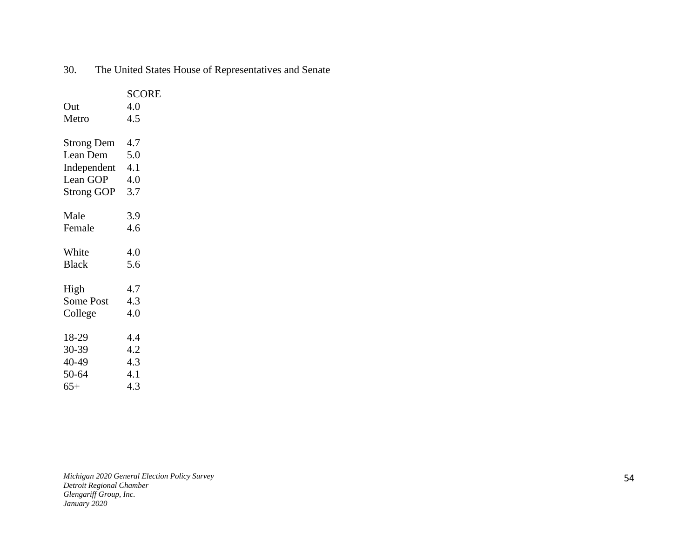|                   | <b>SCORE</b> |
|-------------------|--------------|
| Out               | 4.0          |
| Metro             | 4.5          |
|                   |              |
| <b>Strong Dem</b> | 4.7          |
| Lean Dem          | 5.0          |
| Independent 4.1   |              |
| Lean GOP          | 4.0          |
| <b>Strong GOP</b> | 3.7          |
|                   |              |
| Male              | 3.9          |
| Female            | 4.6          |
|                   |              |
| White             | 4.0          |
| <b>Black</b>      | 5.6          |
|                   |              |
| High              | 4.7          |
| <b>Some Post</b>  | 4.3          |
| College           | 4.0          |
|                   |              |
| 18-29             | 4.4          |
| 30-39             | 4.2          |
| 40-49             | 4.3          |
| 50-64             | 4.1          |
| $65+$             | 4.3          |

30. The United States House of Representatives and Senate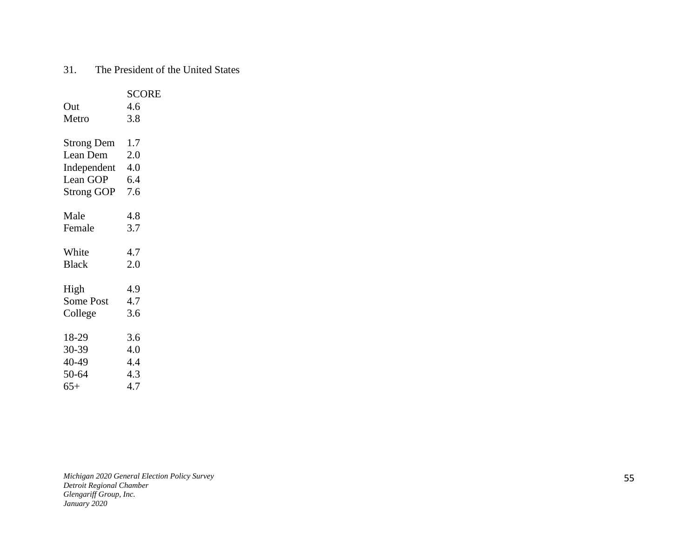## 31. The President of the United States

|                   | <b>SCORE</b> |
|-------------------|--------------|
| Out               | 4.6          |
| Metro             | 3.8          |
|                   |              |
| <b>Strong Dem</b> | 1.7          |
| Lean Dem          | 2.0          |
| Independent       | 4.0          |
| Lean GOP          | 6.4          |
| <b>Strong GOP</b> | 7.6          |
|                   |              |
| Male              | 4.8          |
| Female            | 3.7          |
|                   |              |
| White             | 4.7          |
| <b>Black</b>      | 2.0          |
|                   |              |
| High              | 4.9          |
| <b>Some Post</b>  | 4.7          |
| College           | 3.6          |
|                   |              |
| 18-29             | 3.6          |
| 30-39             | 4.0          |
| 40-49             | 4.4          |
| 50-64             | 4.3          |
| $65+$             | 4.7          |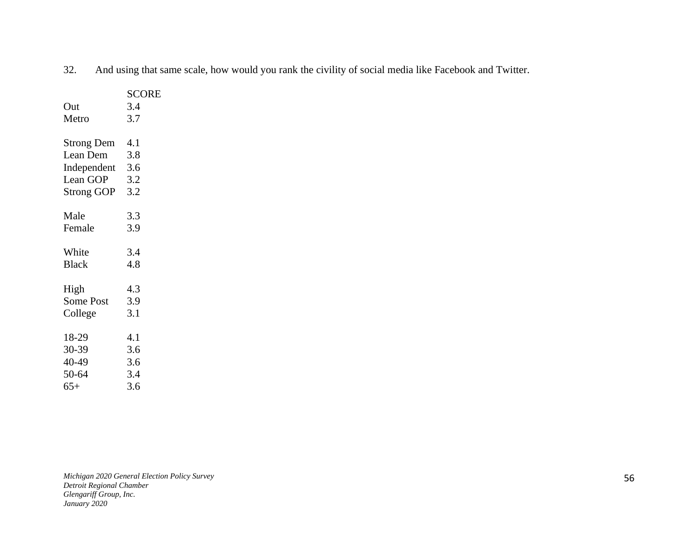| 32. And using that same scale, how would you rank the civility of social media like Facebook and Twitter. |  |  |  |
|-----------------------------------------------------------------------------------------------------------|--|--|--|
|                                                                                                           |  |  |  |

|                   | <b>SCORE</b> |
|-------------------|--------------|
| Out               | 3.4          |
| Metro             | 3.7          |
|                   |              |
| <b>Strong Dem</b> | 4.1          |
| Lean Dem          | 3.8          |
| Independent 3.6   |              |
| Lean GOP          | 3.2          |
| Strong GOP        | 3.2          |
|                   |              |
| Male              | 3.3          |
| Female            | 3.9          |
|                   |              |
| White             | 3.4          |
| <b>Black</b>      | 4.8          |
|                   |              |
| High              | 4.3          |
| <b>Some Post</b>  | 3.9          |
| College           | 3.1          |
|                   |              |
| 18-29             | 4.1          |
| 30-39             | 3.6          |
| 40-49             | 3.6          |
| 50-64             | 3.4          |
| $65+$             | 3.6          |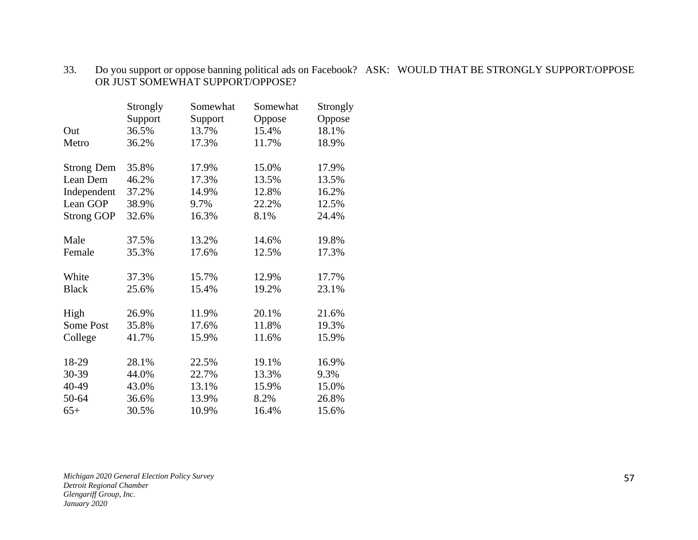#### 33. Do you support or oppose banning political ads on Facebook? ASK: WOULD THAT BE STRONGLY SUPPORT/OPPOSE OR JUST SOMEWHAT SUPPORT/OPPOSE?

|                   | Strongly | Somewhat | Somewhat | Strongly |
|-------------------|----------|----------|----------|----------|
|                   | Support  | Support  | Oppose   | Oppose   |
| Out               | 36.5%    | 13.7%    | 15.4%    | 18.1%    |
| Metro             | 36.2%    | 17.3%    | 11.7%    | 18.9%    |
| <b>Strong Dem</b> | 35.8%    | 17.9%    | 15.0%    | 17.9%    |
| Lean Dem          | 46.2%    | 17.3%    | 13.5%    | 13.5%    |
| Independent       | 37.2%    | 14.9%    | 12.8%    | 16.2%    |
| Lean GOP          | 38.9%    | 9.7%     | 22.2%    | 12.5%    |
| <b>Strong GOP</b> | 32.6%    | 16.3%    | 8.1%     | 24.4%    |
| Male              | 37.5%    | 13.2%    | 14.6%    | 19.8%    |
| Female            | 35.3%    | 17.6%    | 12.5%    | 17.3%    |
| White             | 37.3%    | 15.7%    | 12.9%    | 17.7%    |
| <b>Black</b>      | 25.6%    | 15.4%    | 19.2%    | 23.1%    |
| High              | 26.9%    | 11.9%    | 20.1%    | 21.6%    |
| Some Post         | 35.8%    | 17.6%    | 11.8%    | 19.3%    |
| College           | 41.7%    | 15.9%    | 11.6%    | 15.9%    |
| 18-29             | 28.1%    | 22.5%    | 19.1%    | 16.9%    |
| 30-39             | 44.0%    | 22.7%    | 13.3%    | 9.3%     |
| 40-49             | 43.0%    | 13.1%    | 15.9%    | 15.0%    |
| 50-64             | 36.6%    | 13.9%    | 8.2%     | 26.8%    |
| $65+$             | 30.5%    | 10.9%    | 16.4%    | 15.6%    |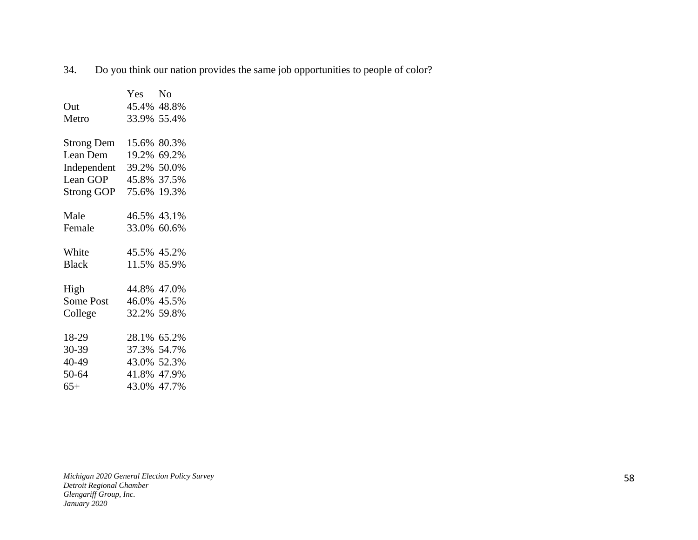34. Do you think our nation provides the same job opportunities to people of color?

|                   | Yes         | N <sub>0</sub> |
|-------------------|-------------|----------------|
| Out               | 45.4% 48.8% |                |
| Metro             | 33.9% 55.4% |                |
|                   |             |                |
| <b>Strong Dem</b> | 15.6%       | 80.3%          |
| Lean Dem          | 19.2%       | 69.2%          |
| Independent       | 39.2% 50.0% |                |
| Lean GOP          | 45.8% 37.5% |                |
| Strong GOP        | 75.6%       | 19.3%          |
|                   |             |                |
| Male              | 46.5% 43.1% |                |
| Female            | 33.0% 60.6% |                |
|                   |             |                |
| White             | 45.5% 45.2% |                |
| <b>Black</b>      | 11.5% 85.9% |                |
|                   |             |                |
| High              | 44.8% 47.0% |                |
| Some Post         | 46.0% 45.5% |                |
| College           | 32.2% 59.8% |                |
|                   |             |                |
| 18-29             | 28.1%       | 65.2%          |
| 30-39             | 37.3% 54.7% |                |
| 40-49             | 43.0% 52.3% |                |
| 50-64             | 41.8%       | 47.9%          |
| $65+$             | 43.0%       | 47.7%          |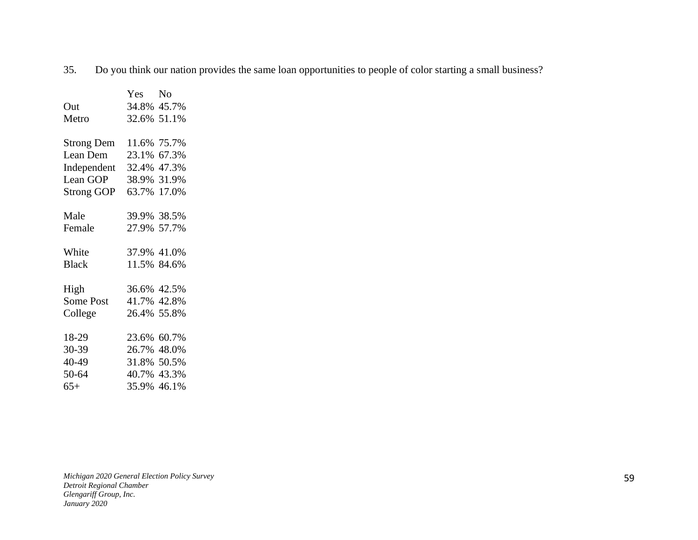35. Do you think our nation provides the same loan opportunities to people of color starting a small business?

|                   | Yes         | No          |
|-------------------|-------------|-------------|
| Out               | 34.8% 45.7% |             |
| Metro             | 32.6% 51.1% |             |
|                   |             |             |
| <b>Strong Dem</b> | 11.6% 75.7% |             |
| Lean Dem          | 23.1% 67.3% |             |
| Independent       | 32.4% 47.3% |             |
| Lean GOP          |             | 38.9% 31.9% |
| Strong GOP        | 63.7% 17.0% |             |
|                   |             |             |
| Male              | 39.9% 38.5% |             |
| Female            | 27.9% 57.7% |             |
|                   |             |             |
| White             | 37.9% 41.0% |             |
| <b>Black</b>      | 11.5% 84.6% |             |
|                   |             |             |
| High              | 36.6% 42.5% |             |
| Some Post         | 41.7% 42.8% |             |
| College           | 26.4% 55.8% |             |
|                   |             |             |
| 18-29             | 23.6% 60.7% |             |
| 30-39             | 26.7% 48.0% |             |
| 40-49             | 31.8% 50.5% |             |
| 50-64             | 40.7% 43.3% |             |
| $65+$             | 35.9% 46.1% |             |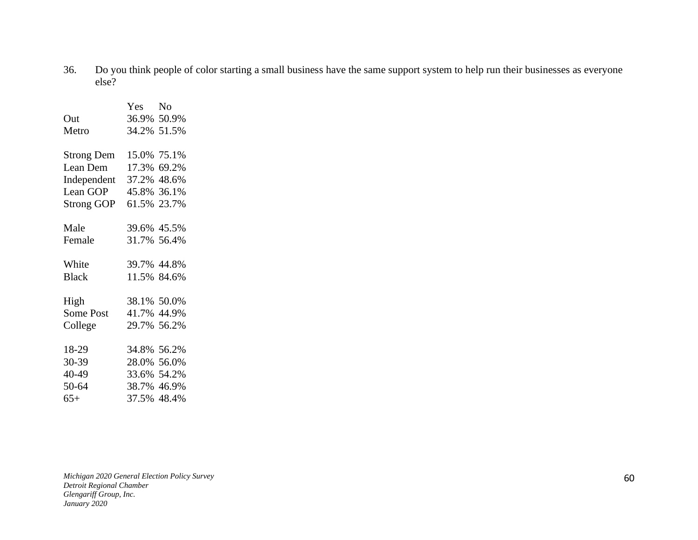36. Do you think people of color starting a small business have the same support system to help run their businesses as everyone else?

|                   | Yes         | No          |
|-------------------|-------------|-------------|
| Out               |             | 36.9% 50.9% |
| Metro             |             | 34.2% 51.5% |
|                   |             |             |
| <b>Strong Dem</b> | 15.0%       | 75.1%       |
| Lean Dem          | 17.3%       | 69.2%       |
| Independent       | 37.2%       | 48.6%       |
| Lean GOP          | 45.8%       | 36.1%       |
| <b>Strong GOP</b> | 61.5%       | 23.7%       |
|                   |             |             |
| Male              |             | 39.6% 45.5% |
| Female            |             | 31.7% 56.4% |
| White             |             | 39.7% 44.8% |
| <b>Black</b>      |             | 11.5% 84.6% |
|                   |             |             |
| High              |             | 38.1% 50.0% |
| Some Post         |             | 41.7% 44.9% |
| College           | 29.7% 56.2% |             |
|                   |             |             |
| 18-29             | 34.8%       | 56.2%       |
| 30-39             |             | 28.0% 56.0% |
| 40-49             |             | 33.6% 54.2% |
| 50-64             | 38.7%       | 46.9%       |
| $65+$             | 37.5%       | 48.4%       |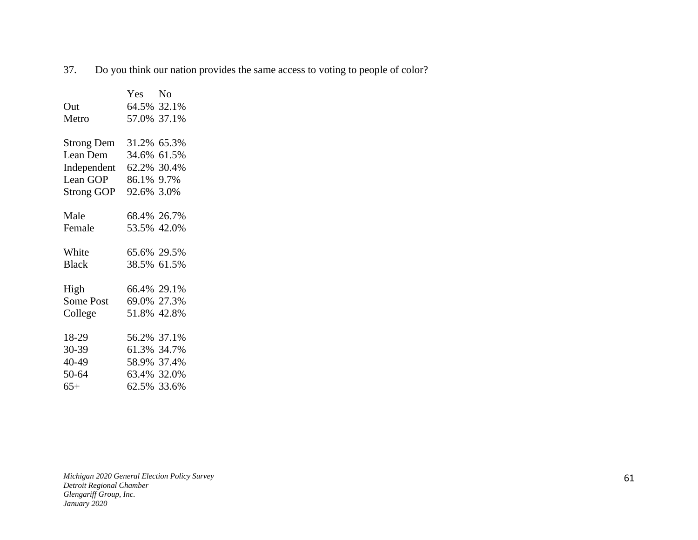37. Do you think our nation provides the same access to voting to people of color?

|                   | Yes         | N <sub>o</sub> |
|-------------------|-------------|----------------|
| Out               | 64.5% 32.1% |                |
| Metro             | 57.0% 37.1% |                |
|                   |             |                |
| <b>Strong Dem</b> | 31.2% 65.3% |                |
| Lean Dem          | 34.6%       | 61.5%          |
| Independent       | 62.2% 30.4% |                |
| Lean GOP          | 86.1% 9.7%  |                |
| Strong GOP        | 92.6%       | 3.0%           |
|                   |             |                |
| Male              | 68.4% 26.7% |                |
| Female            | 53.5% 42.0% |                |
|                   |             |                |
| White             | 65.6% 29.5% |                |
| <b>Black</b>      | 38.5% 61.5% |                |
|                   |             |                |
| High              | 66.4% 29.1% |                |
| Some Post         | 69.0% 27.3% |                |
| College           | 51.8% 42.8% |                |
|                   |             |                |
| 18-29             | 56.2% 37.1% |                |
| 30-39             | 61.3% 34.7% |                |
| 40-49             | 58.9% 37.4% |                |
| 50-64             | 63.4% 32.0% |                |
| $65+$             | 62.5% 33.6% |                |